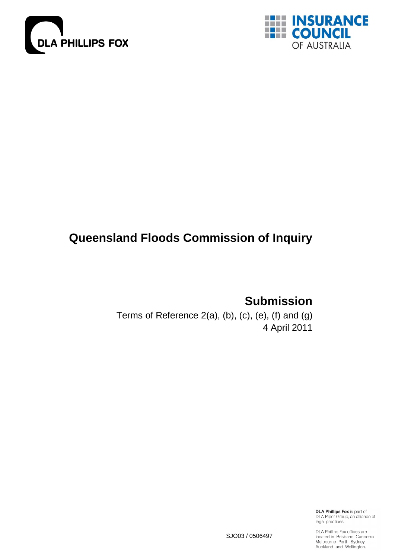



# **Queensland Floods Commission of Inquiry**

**Submission**

Terms of Reference 2(a), (b), (c), (e), (f) and (g) 4 April 2011

> **DLA Phillips Fox** is part of DLA Piper Group, an alliance of<br>legal practices.

SJO03 / 0506497

DLA Phillips Fox offices are<br>located in Brisbane Canberra<br>Melbourne Perth Sydney Auckland and Wellington.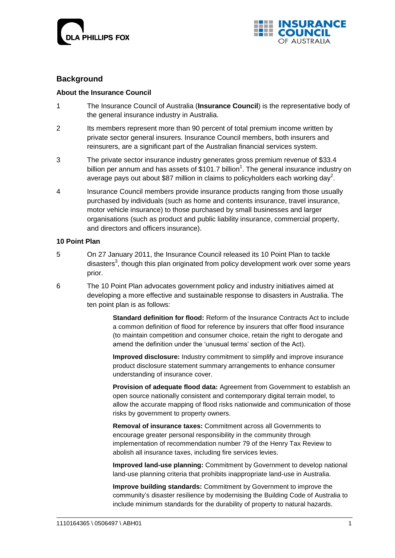



# **Background**

### **About the Insurance Council**

- 1 The Insurance Council of Australia (**Insurance Council**) is the representative body of the general insurance industry in Australia.
- 2 Its members represent more than 90 percent of total premium income written by private sector general insurers. Insurance Council members, both insurers and reinsurers, are a significant part of the Australian financial services system.
- 3 The private sector insurance industry generates gross premium revenue of \$33.4 billion per annum and has assets of \$101.7 billion<sup>1</sup>. The general insurance industry on average pays out about \$87 million in claims to policyholders each working day<sup>2</sup>.
- 4 Insurance Council members provide insurance products ranging from those usually purchased by individuals (such as home and contents insurance, travel insurance, motor vehicle insurance) to those purchased by small businesses and larger organisations (such as product and public liability insurance, commercial property, and directors and officers insurance).

### **10 Point Plan**

- 5 On 27 January 2011, the Insurance Council released its 10 Point Plan to tackle disasters<sup>3</sup>, though this plan originated from policy development work over some years prior.
- 6 The 10 Point Plan advocates government policy and industry initiatives aimed at developing a more effective and sustainable response to disasters in Australia. The ten point plan is as follows:

**Standard definition for flood:** Reform of the Insurance Contracts Act to include a common definition of flood for reference by insurers that offer flood insurance (to maintain competition and consumer choice, retain the right to derogate and amend the definition under the 'unusual terms' section of the Act).

**Improved disclosure:** Industry commitment to simplify and improve insurance product disclosure statement summary arrangements to enhance consumer understanding of insurance cover.

**Provision of adequate flood data:** Agreement from Government to establish an open source nationally consistent and contemporary digital terrain model, to allow the accurate mapping of flood risks nationwide and communication of those risks by government to property owners.

**Removal of insurance taxes:** Commitment across all Governments to encourage greater personal responsibility in the community through implementation of recommendation number 79 of the Henry Tax Review to abolish all insurance taxes, including fire services levies.

**Improved land-use planning:** Commitment by Government to develop national land-use planning criteria that prohibits inappropriate land-use in Australia.

**Improve building standards:** Commitment by Government to improve the community"s disaster resilience by modernising the Building Code of Australia to include minimum standards for the durability of property to natural hazards.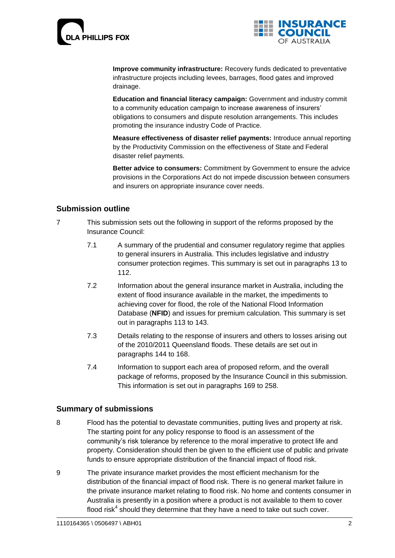



**Improve community infrastructure:** Recovery funds dedicated to preventative infrastructure projects including levees, barrages, flood gates and improved drainage.

**Education and financial literacy campaign:** Government and industry commit to a community education campaign to increase awareness of insurers" obligations to consumers and dispute resolution arrangements. This includes promoting the insurance industry Code of Practice.

**Measure effectiveness of disaster relief payments:** Introduce annual reporting by the Productivity Commission on the effectiveness of State and Federal disaster relief payments.

**Better advice to consumers:** Commitment by Government to ensure the advice provisions in the Corporations Act do not impede discussion between consumers and insurers on appropriate insurance cover needs.

# **Submission outline**

- 7 This submission sets out the following in support of the reforms proposed by the Insurance Council:
	- 7.1 A summary of the prudential and consumer regulatory regime that applies to general insurers in Australia. This includes legislative and industry consumer protection regimes. This summary is set out in paragraphs [13](#page-5-0) to 112.
	- 7.2 Information about the general insurance market in Australia, including the extent of flood insurance available in the market, the impediments to achieving cover for flood, the role of the National Flood Information Database (**NFID**) and issues for premium calculation. This summary is set out in paragraphs 113 to 143.
	- 7.3 Details relating to the response of insurers and others to losses arising out of the 2010/2011 Queensland floods. These details are set out in paragraphs 144 to 168.
	- 7.4 Information to support each area of proposed reform, and the overall package of reforms, proposed by the Insurance Council in this submission. This information is set out in paragraphs 169 to 258.

# **Summary of submissions**

- 8 Flood has the potential to devastate communities, putting lives and property at risk. The starting point for any policy response to flood is an assessment of the community"s risk tolerance by reference to the moral imperative to protect life and property. Consideration should then be given to the efficient use of public and private funds to ensure appropriate distribution of the financial impact of flood risk.
- 9 The private insurance market provides the most efficient mechanism for the distribution of the financial impact of flood risk. There is no general market failure in the private insurance market relating to flood risk. No home and contents consumer in Australia is presently in a position where a product is not available to them to cover flood risk<sup>4</sup> should they determine that they have a need to take out such cover.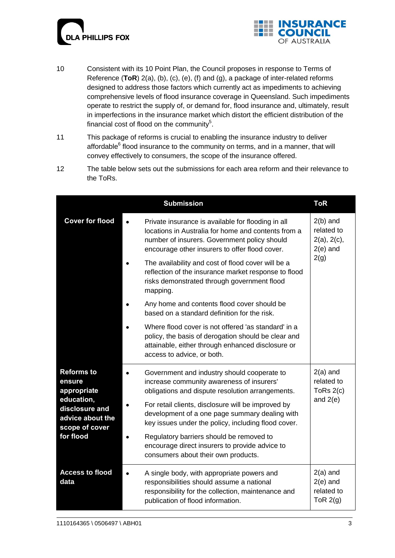



- 10 Consistent with its 10 Point Plan, the Council proposes in response to Terms of Reference (**ToR**) 2(a), (b), (c), (e), (f) and (g), a package of inter-related reforms designed to address those factors which currently act as impediments to achieving comprehensive levels of flood insurance coverage in Queensland. Such impediments operate to restrict the supply of, or demand for, flood insurance and, ultimately, result in imperfections in the insurance market which distort the efficient distribution of the financial cost of flood on the community<sup>5</sup>.
- 11 This package of reforms is crucial to enabling the insurance industry to deliver affordable<sup>6</sup> flood insurance to the community on terms, and in a manner, that will convey effectively to consumers, the scope of the insurance offered.
- 12 The table below sets out the submissions for each area reform and their relevance to the ToRs.

|                                                                                                                               | <b>Submission</b>                                                                                                                                                                                                                                                                                                                                                                                                                                | <b>ToR</b>                                            |
|-------------------------------------------------------------------------------------------------------------------------------|--------------------------------------------------------------------------------------------------------------------------------------------------------------------------------------------------------------------------------------------------------------------------------------------------------------------------------------------------------------------------------------------------------------------------------------------------|-------------------------------------------------------|
| <b>Cover for flood</b>                                                                                                        | Private insurance is available for flooding in all<br>locations in Australia for home and contents from a<br>number of insurers. Government policy should<br>encourage other insurers to offer flood cover.                                                                                                                                                                                                                                      | $2(b)$ and<br>related to<br>2(a), 2(c),<br>$2(e)$ and |
|                                                                                                                               | The availability and cost of flood cover will be a<br>reflection of the insurance market response to flood<br>risks demonstrated through government flood<br>mapping.                                                                                                                                                                                                                                                                            | 2(g)                                                  |
|                                                                                                                               | Any home and contents flood cover should be<br>based on a standard definition for the risk.                                                                                                                                                                                                                                                                                                                                                      |                                                       |
|                                                                                                                               | Where flood cover is not offered 'as standard' in a<br>policy, the basis of derogation should be clear and<br>attainable, either through enhanced disclosure or<br>access to advice, or both.                                                                                                                                                                                                                                                    |                                                       |
| <b>Reforms to</b><br>ensure<br>appropriate<br>education,<br>disclosure and<br>advice about the<br>scope of cover<br>for flood | Government and industry should cooperate to<br>increase community awareness of insurers'<br>obligations and dispute resolution arrangements.<br>For retail clients, disclosure will be improved by<br>development of a one page summary dealing with<br>key issues under the policy, including flood cover.<br>Regulatory barriers should be removed to<br>encourage direct insurers to provide advice to<br>consumers about their own products. | $2(a)$ and<br>related to<br>ToRs $2(c)$<br>and $2(e)$ |
| <b>Access to flood</b><br>data                                                                                                | A single body, with appropriate powers and<br>responsibilities should assume a national<br>responsibility for the collection, maintenance and<br>publication of flood information.                                                                                                                                                                                                                                                               | $2(a)$ and<br>$2(e)$ and<br>related to<br>ToR $2(g)$  |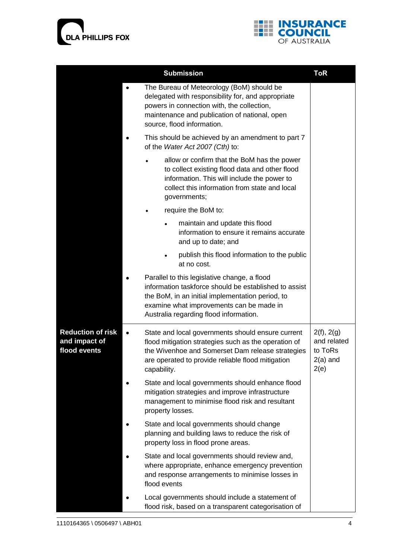



|                                                           | <b>Submission</b>                                                                                                                                                                                                                               | <b>ToR</b>                                                 |
|-----------------------------------------------------------|-------------------------------------------------------------------------------------------------------------------------------------------------------------------------------------------------------------------------------------------------|------------------------------------------------------------|
|                                                           | The Bureau of Meteorology (BoM) should be<br>delegated with responsibility for, and appropriate<br>powers in connection with, the collection,<br>maintenance and publication of national, open<br>source, flood information.                    |                                                            |
|                                                           | This should be achieved by an amendment to part 7<br>of the Water Act 2007 (Cth) to:                                                                                                                                                            |                                                            |
|                                                           | allow or confirm that the BoM has the power<br>$\bullet$<br>to collect existing flood data and other flood<br>information. This will include the power to<br>collect this information from state and local<br>governments;                      |                                                            |
|                                                           | require the BoM to:<br>٠                                                                                                                                                                                                                        |                                                            |
|                                                           | maintain and update this flood<br>information to ensure it remains accurate<br>and up to date; and                                                                                                                                              |                                                            |
|                                                           | publish this flood information to the public<br>at no cost.                                                                                                                                                                                     |                                                            |
|                                                           | Parallel to this legislative change, a flood<br>information taskforce should be established to assist<br>the BoM, in an initial implementation period, to<br>examine what improvements can be made in<br>Australia regarding flood information. |                                                            |
| <b>Reduction of risk</b><br>and impact of<br>flood events | State and local governments should ensure current<br>flood mitigation strategies such as the operation of<br>the Wivenhoe and Somerset Dam release strategies<br>are operated to provide reliable flood mitigation<br>capability.               | 2(f), 2(g)<br>and related<br>to ToRs<br>$2(a)$ and<br>2(e) |
|                                                           | State and local governments should enhance flood<br>mitigation strategies and improve infrastructure<br>management to minimise flood risk and resultant<br>property losses.                                                                     |                                                            |
|                                                           | State and local governments should change<br>planning and building laws to reduce the risk of<br>property loss in flood prone areas.                                                                                                            |                                                            |
|                                                           | State and local governments should review and,<br>where appropriate, enhance emergency prevention<br>and response arrangements to minimise losses in<br>flood events                                                                            |                                                            |
|                                                           | Local governments should include a statement of<br>flood risk, based on a transparent categorisation of                                                                                                                                         |                                                            |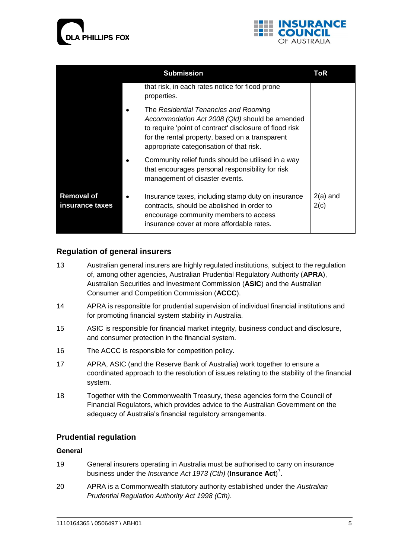



|                                      | ToR                                                                                                                                                                                                                                               |                    |
|--------------------------------------|---------------------------------------------------------------------------------------------------------------------------------------------------------------------------------------------------------------------------------------------------|--------------------|
|                                      | that risk, in each rates notice for flood prone<br>properties.                                                                                                                                                                                    |                    |
|                                      | The Residential Tenancies and Rooming<br>Accommodation Act 2008 (Qld) should be amended<br>to require 'point of contract' disclosure of flood risk<br>for the rental property, based on a transparent<br>appropriate categorisation of that risk. |                    |
|                                      | Community relief funds should be utilised in a way<br>that encourages personal responsibility for risk<br>management of disaster events.                                                                                                          |                    |
| <b>Removal of</b><br>insurance taxes | Insurance taxes, including stamp duty on insurance<br>contracts, should be abolished in order to<br>encourage community members to access<br>insurance cover at more affordable rates.                                                            | $2(a)$ and<br>2(c) |

# **Regulation of general insurers**

- <span id="page-5-0"></span>13 Australian general insurers are highly regulated institutions, subject to the regulation of, among other agencies, Australian Prudential Regulatory Authority (**APRA**), Australian Securities and Investment Commission (**ASIC**) and the Australian Consumer and Competition Commission (**ACCC**).
- 14 APRA is responsible for prudential supervision of individual financial institutions and for promoting financial system stability in Australia.
- 15 ASIC is responsible for financial market integrity, business conduct and disclosure, and consumer protection in the financial system.
- 16 The ACCC is responsible for competition policy.
- 17 APRA, ASIC (and the Reserve Bank of Australia) work together to ensure a coordinated approach to the resolution of issues relating to the stability of the financial system.
- 18 Together with the Commonwealth Treasury, these agencies form the Council of Financial Regulators, which provides advice to the Australian Government on the adequacy of Australia's financial regulatory arrangements.

### **Prudential regulation**

### **General**

- 19 General insurers operating in Australia must be authorised to carry on insurance business under the *Insurance Act 1973 (Cth)* (**Insurance Act**) 7 .
- 20 APRA is a Commonwealth statutory authority established under the *Australian Prudential Regulation Authority Act 1998 (Cth)*.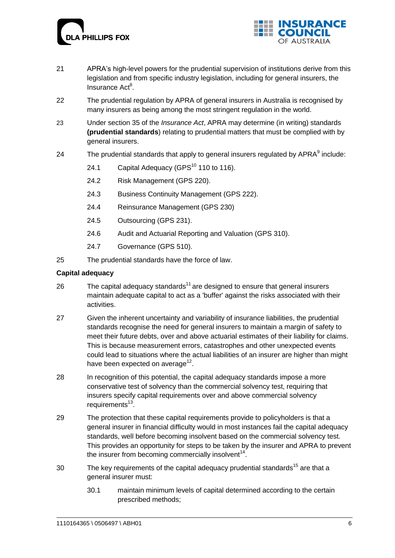



- 21 APRA"s high-level powers for the prudential supervision of institutions derive from this legislation and from specific industry legislation, including for general insurers, the Insurance Act<sup>8</sup>.
- 22 The prudential regulation by APRA of general insurers in Australia is recognised by many insurers as being among the most stringent regulation in the world.
- 23 Under section 35 of the *Insurance Act*, APRA may determine (in writing) standards **(prudential standards**) relating to prudential matters that must be complied with by general insurers.
- 24 The prudential standards that apply to general insurers regulated by  $APRA<sup>9</sup>$  include:
	- 24.1 [Capital Adequacy](http://www.apra.gov.au/Policy/upload/GPS-110-final-June-2010.pdf) (GPS $^{10}$  110 to 116).
	- 24.2 [Risk Management](http://www.apra.gov.au/General/upload/Final-GPS-220-July-2008.pdf) (GPS 220).
	- 24.3 [Business Continuity Management](http://www.apra.gov.au/General/upload/GPS-222-Business-Continuity-Management.pdf) (GPS 222).
	- 24.4 [Reinsurance Management](http://www.apra.gov.au/General/upload/Final-GPS-230-July-2008.pdf) (GPS 230)
	- 24.5 [Outsourcing](http://www.apra.gov.au/General/upload/Final-GPS-231-July-2008.pdf) (GPS 231).
	- 24.6 [Audit and Actuarial Reporting and Valuation](http://www.apra.gov.au/Policy/upload/GPS-310-final-June-2010.pdf) (GPS 310).
	- 24.7 [Governance](http://www.apra.gov.au/Policy/upload/GPS-510-Governance-Nov-2009.pdf) (GPS 510).
- 25 The prudential standards have the force of law.

### **Capital adequacy**

- 26 The capital adequacy standards<sup>11</sup> are designed to ensure that general insurers maintain adequate capital to act as a 'buffer' against the risks associated with their activities.
- 27 Given the inherent uncertainty and variability of insurance liabilities, the prudential standards recognise the need for general insurers to maintain a margin of safety to meet their future debts, over and above actuarial estimates of their liability for claims. This is because measurement errors, catastrophes and other unexpected events could lead to situations where the actual liabilities of an insurer are higher than might have been expected on average<sup>12</sup>.
- 28 In recognition of this potential, the capital adequacy standards impose a more conservative test of solvency than the commercial solvency test, requiring that insurers specify capital requirements over and above commercial solvency requirements<sup>13</sup>.
- 29 The protection that these capital requirements provide to policyholders is that a general insurer in financial difficulty would in most instances fail the capital adequacy standards, well before becoming insolvent based on the commercial solvency test. This provides an opportunity for steps to be taken by the insurer and APRA to prevent the insurer from becoming commercially insolvent $14$ .
- 30 The key requirements of the capital adequacy prudential standards<sup>15</sup> are that a general insurer must:
	- 30.1 maintain minimum levels of capital determined according to the certain prescribed methods;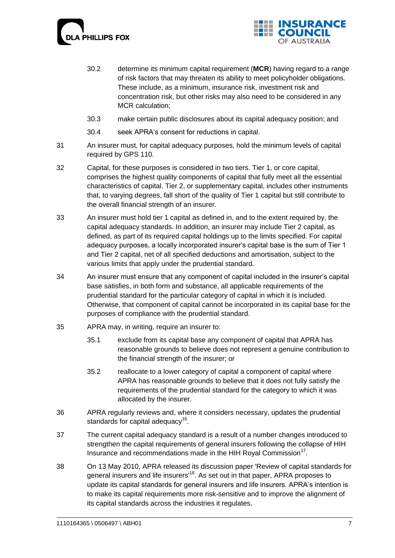



- 30.2 determine its minimum capital requirement (**MCR**) having regard to a range of risk factors that may threaten its ability to meet policyholder obligations. These include, as a minimum, insurance risk, investment risk and concentration risk, but other risks may also need to be considered in any MCR calculation;
- 30.3 make certain public disclosures about its capital adequacy position; and
- 30.4 seek APRA"s consent for reductions in capital.
- 31 An insurer must, for capital adequacy purposes, hold the minimum levels of capital required by GPS 110.
- 32 Capital, for these purposes is considered in two tiers. Tier 1, or core capital, comprises the highest quality components of capital that fully meet all the essential characteristics of capital. Tier 2, or supplementary capital, includes other instruments that, to varying degrees, fall short of the quality of Tier 1 capital but still contribute to the overall financial strength of an insurer.
- 33 An insurer must hold tier 1 capital as defined in, and to the extent required by, the capital adequacy standards. In addition, an insurer may include Tier 2 capital, as defined, as part of its required capital holdings up to the limits specified. For capital adequacy purposes, a locally incorporated insurer"s capital base is the sum of Tier 1 and Tier 2 capital, net of all specified deductions and amortisation, subject to the various limits that apply under the prudential standard.
- 34 An insurer must ensure that any component of capital included in the insurer"s capital base satisfies, in both form and substance, all applicable requirements of the prudential standard for the particular category of capital in which it is included. Otherwise, that component of capital cannot be incorporated in its capital base for the purposes of compliance with the prudential standard.
- 35 APRA may, in writing, require an insurer to:
	- 35.1 exclude from its capital base any component of capital that APRA has reasonable grounds to believe does not represent a genuine contribution to the financial strength of the insurer; or
	- 35.2 reallocate to a lower category of capital a component of capital where APRA has reasonable grounds to believe that it does not fully satisfy the requirements of the prudential standard for the category to which it was allocated by the insurer.
- 36 APRA regularly reviews and, where it considers necessary, updates the prudential standards for capital adequacy<sup>16</sup>.
- 37 The current capital adequacy standard is a result of a number changes introduced to strengthen the capital requirements of general insurers following the collapse of HIH Insurance and recommendations made in the HIH Royal Commission<sup>17</sup>.
- 38 On 13 May 2010, APRA released its discussion paper 'Review of capital standards for general insurers and life insurers<sup>18</sup>. As set out in that paper, APRA proposes to update its capital standards for general insurers and life insurers. APRA"s intention is to make its capital requirements more risk-sensitive and to improve the alignment of its capital standards across the industries it regulates.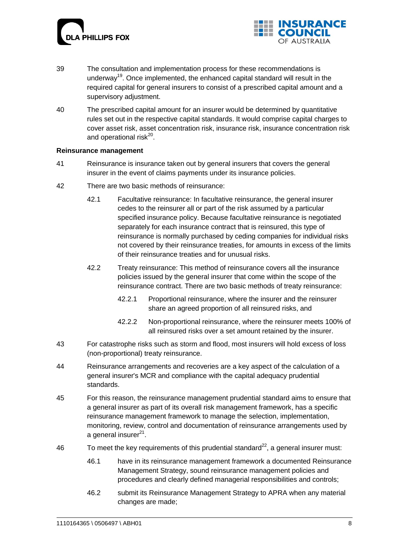



- 39 The consultation and implementation process for these recommendations is underway<sup>19</sup>. Once implemented, the enhanced capital standard will result in the required capital for general insurers to consist of a prescribed capital amount and a supervisory adjustment.
- 40 The prescribed capital amount for an insurer would be determined by quantitative rules set out in the respective capital standards. It would comprise capital charges to cover asset risk, asset concentration risk, insurance risk, insurance concentration risk and operational risk<sup>20</sup>.

### **Reinsurance management**

- 41 Reinsurance is insurance taken out by general insurers that covers the general insurer in the event of claims payments under its insurance policies.
- 42 There are two basic methods of reinsurance:
	- 42.1 Facultative reinsurance: In facultative reinsurance, the general insurer cedes to the reinsurer all or part of the risk assumed by a particular specified insurance policy. Because facultative reinsurance is negotiated separately for each insurance contract that is reinsured, this type of reinsurance is normally purchased by ceding companies for individual risks not covered by their reinsurance treaties, for amounts in excess of the limits of their reinsurance treaties and for unusual risks.
	- 42.2 Treaty reinsurance: This method of reinsurance covers all the insurance policies issued by the general insurer that come within the scope of the reinsurance contract. There are two basic methods of treaty reinsurance:
		- 42.2.1 Proportional reinsurance, where the insurer and the reinsurer share an agreed proportion of all reinsured risks, and
		- 42.2.2 Non-proportional reinsurance, where the reinsurer meets 100% of all reinsured risks over a set amount retained by the insurer.
- 43 For catastrophe risks such as storm and flood, most insurers will hold excess of loss (non-proportional) treaty reinsurance.
- 44 Reinsurance arrangements and recoveries are a key aspect of the calculation of a general insurer's MCR and compliance with the capital adequacy prudential standards.
- 45 For this reason, the reinsurance management prudential standard aims to ensure that a general insurer as part of its overall risk management framework, has a specific reinsurance management framework to manage the selection, implementation, monitoring, review, control and documentation of reinsurance arrangements used by a general insurer<sup>21</sup>.
- 46 To meet the key requirements of this prudential standard<sup>22</sup>, a general insurer must:
	- 46.1 have in its reinsurance management framework a documented Reinsurance Management Strategy, sound reinsurance management policies and procedures and clearly defined managerial responsibilities and controls;
	- 46.2 submit its Reinsurance Management Strategy to APRA when any material changes are made;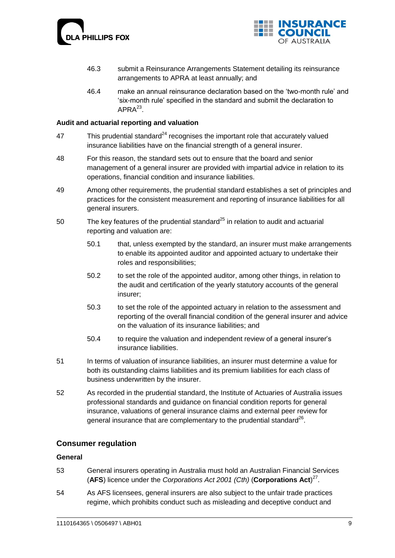



- 46.3 submit a Reinsurance Arrangements Statement detailing its reinsurance arrangements to APRA at least annually; and
- 46.4 make an annual reinsurance declaration based on the "two-month rule" and "six-month rule" specified in the standard and submit the declaration to  $\mathsf{APRA}^{23}$ .

### **Audit and actuarial reporting and valuation**

- 47 This prudential standard $^{24}$  recognises the important role that accurately valued insurance liabilities have on the financial strength of a general insurer.
- 48 For this reason, the standard sets out to ensure that the board and senior management of a general insurer are provided with impartial advice in relation to its operations, financial condition and insurance liabilities.
- 49 Among other requirements, the prudential standard establishes a set of principles and practices for the consistent measurement and reporting of insurance liabilities for all general insurers.
- 50 The key features of the prudential standard $^{25}$  in relation to audit and actuarial reporting and valuation are:
	- 50.1 that, unless exempted by the standard, an insurer must make arrangements to enable its appointed auditor and appointed actuary to undertake their roles and responsibilities;
	- 50.2 to set the role of the appointed auditor, among other things, in relation to the audit and certification of the yearly statutory accounts of the general insurer;
	- 50.3 to set the role of the appointed actuary in relation to the assessment and reporting of the overall financial condition of the general insurer and advice on the valuation of its insurance liabilities; and
	- 50.4 to require the valuation and independent review of a general insurer"s insurance liabilities.
- 51 In terms of valuation of insurance liabilities, an insurer must determine a value for both its outstanding claims liabilities and its premium liabilities for each class of business underwritten by the insurer.
- 52 As recorded in the prudential standard, the Institute of Actuaries of Australia issues professional standards and guidance on financial condition reports for general insurance, valuations of general insurance claims and external peer review for general insurance that are complementary to the prudential standard $^{26}$ .

### **Consumer regulation**

#### **General**

- 53 General insurers operating in Australia must hold an Australian Financial Services (**AFS**) licence under the *Corporations Act 2001 (Cth)* (**Corporations Act**) 27 .
- 54 As AFS licensees, general insurers are also subject to the unfair trade practices regime, which prohibits conduct such as misleading and deceptive conduct and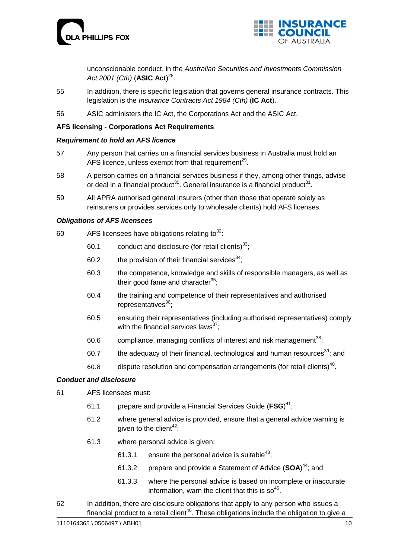



unconscionable conduct, in the *Australian Securities and Investments Commission Act 2001 (Cth)* (**ASIC Act**) 28 .

- 55 In addition, there is specific legislation that governs general insurance contracts. This legislation is the *Insurance Contracts Act 1984 (Cth)* (**IC Act**).
- 56 ASIC administers the IC Act, the Corporations Act and the ASIC Act.

### **AFS licensing - Corporations Act Requirements**

### *Requirement to hold an AFS licence*

- 57 Any person that carries on a financial services business in Australia must hold an AFS licence, unless exempt from that requirement<sup>29</sup>.
- 58 A person carries on a financial services business if they, among other things, advise or deal in a financial product<sup>30</sup>. General insurance is a financial product<sup>31</sup>.
- 59 All APRA authorised general insurers (other than those that operate solely as reinsurers or provides services only to wholesale clients) hold AFS licenses.

### *Obligations of AFS licensees*

- 60 AFS licensees have obligations relating to  $32$ :
	- 60.1 conduct and disclosure (for retail clients) $^{33}$ ;
	- 60.2 the provision of their financial services  $34$ :
	- 60.3 the competence, knowledge and skills of responsible managers, as well as their good fame and character $^{35}$ ;
	- 60.4 the training and competence of their representatives and authorised representatives $36$ :
	- 60.5 ensuring their representatives (including authorised representatives) comply with the financial services laws $37$ ;
	- 60.6 compliance, managing conflicts of interest and risk management<sup>38</sup>;
	- 60.7 the adequacy of their financial, technological and human resources<sup>39</sup>; and
	- 60.8 dispute resolution and compensation arrangements (for retail clients)<sup>40</sup>.

#### *Conduct and disclosure*

- 61 AFS licensees must:
	- 61.1 prepare and provide a Financial Services Guide (**FSG**) <sup>41</sup>;
	- 61.2 where general advice is provided, ensure that a general advice warning is given to the client<sup>42</sup>;
	- 61.3 where personal advice is given:
		- 61.3.1 ensure the personal advice is suitable<sup>43</sup>;
		- 61.3.2 prepare and provide a Statement of Advice (**SOA**) <sup>44</sup>; and
		- 61.3.3 where the personal advice is based on incomplete or inaccurate information, warn the client that this is so $45$ .
- 62 In addition, there are disclosure obligations that apply to any person who issues a financial product to a retail client<sup>46</sup>. These obligations include the obligation to give a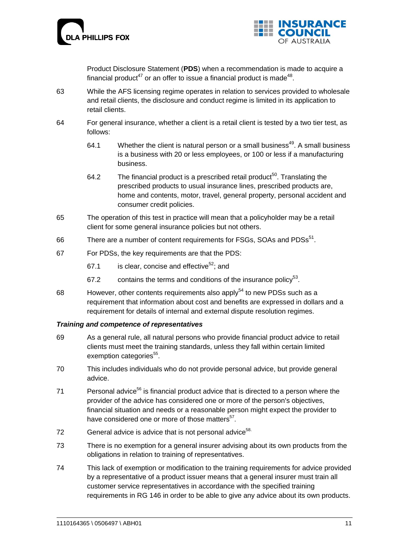



Product Disclosure Statement (**PDS**) when a recommendation is made to acquire a financial product<sup>47</sup> or an offer to issue a financial product is made<sup>48</sup>.

- 63 While the AFS licensing regime operates in relation to services provided to wholesale and retail clients, the disclosure and conduct regime is limited in its application to retail clients.
- 64 For general insurance, whether a client is a retail client is tested by a two tier test, as follows:
	- 64.1 Whether the client is natural person or a small business<sup>49</sup>. A small business is a business with 20 or less employees, or 100 or less if a manufacturing business.
	- 64.2 The financial product is a prescribed retail product<sup>50</sup>. Translating the prescribed products to usual insurance lines, prescribed products are, home and contents, motor, travel, general property, personal accident and consumer credit policies.
- 65 The operation of this test in practice will mean that a policyholder may be a retail client for some general insurance policies but not others.
- 66 There are a number of content requirements for FSGs, SOAs and  $PDSs<sup>51</sup>$ .
- 67 For PDSs, the key requirements are that the PDS:
	- 67.1 is clear, concise and effective<sup>52</sup>; and
	- 67.2 contains the terms and conditions of the insurance policy<sup>53</sup>.
- 68 However, other contents requirements also apply $54$  to new PDSs such as a requirement that information about cost and benefits are expressed in dollars and a requirement for details of internal and external dispute resolution regimes.

### *Training and competence of representatives*

- 69 As a general rule, all natural persons who provide financial product advice to retail clients must meet the training standards, unless they fall within certain limited exemption categories<sup>55</sup>.
- 70 This includes individuals who do not provide personal advice, but provide general advice.
- 71 Personal advice<sup>56</sup> is financial product advice that is directed to a person where the provider of the advice has considered one or more of the person's objectives, financial situation and needs or a reasonable person might expect the provider to have considered one or more of those matters<sup>57</sup>.
- 72 General advice is advice that is not personal advice<sup>58.</sup>
- 73 There is no exemption for a general insurer advising about its own products from the obligations in relation to training of representatives.
- 74 This lack of exemption or modification to the training requirements for advice provided by a representative of a product issuer means that a general insurer must train all customer service representatives in accordance with the specified training requirements in RG 146 in order to be able to give any advice about its own products.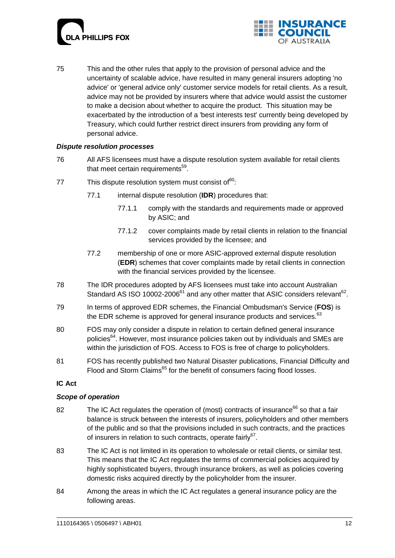



75 This and the other rules that apply to the provision of personal advice and the uncertainty of scalable advice, have resulted in many general insurers adopting 'no advice' or 'general advice only' customer service models for retail clients. As a result, advice may not be provided by insurers where that advice would assist the customer to make a decision about whether to acquire the product. This situation may be exacerbated by the introduction of a 'best interests test' currently being developed by Treasury, which could further restrict direct insurers from providing any form of personal advice.

### *Dispute resolution processes*

- 76 All AFS licensees must have a dispute resolution system available for retail clients that meet certain requirements<sup>59</sup>.
- 77 This dispute resolution system must consist of $^{60}$ :
	- 77.1 internal dispute resolution (**IDR**) procedures that:
		- 77.1.1 comply with the standards and requirements made or approved by ASIC; and
		- 77.1.2 cover complaints made by retail clients in relation to the financial services provided by the licensee; and
	- 77.2 membership of one or more ASIC-approved external dispute resolution (**EDR**) schemes that cover complaints made by retail clients in connection with the financial services provided by the licensee.
- 78 The IDR procedures adopted by AFS licensees must take into account Australian Standard AS ISO 10002-2006 $^{61}$  and any other matter that ASIC considers relevant $^{62}$ .
- 79 In terms of approved EDR schemes, the Financial Ombudsman's Service (**FOS**) is the EDR scheme is approved for general insurance products and services. $63$
- 80 FOS may only consider a dispute in relation to certain defined general insurance policies<sup>64</sup>. However, most insurance policies taken out by individuals and SMEs are within the jurisdiction of FOS. Access to FOS is free of charge to policyholders.
- 81 FOS has recently published two Natural Disaster publications, Financial Difficulty and Flood and Storm Claims<sup>65</sup> for the benefit of consumers facing flood losses.

### **IC Act**

### *Scope of operation*

- 82 The IC Act regulates the operation of (most) contracts of insurance<sup>66</sup> so that a fair balance is struck between the interests of insurers, policyholders and other members of the public and so that the provisions included in such contracts, and the practices of insurers in relation to such contracts, operate fairly<sup>67</sup>.
- 83 The IC Act is not limited in its operation to wholesale or retail clients, or similar test. This means that the IC Act regulates the terms of commercial policies acquired by highly sophisticated buyers, through insurance brokers, as well as policies covering domestic risks acquired directly by the policyholder from the insurer.
- 84 Among the areas in which the IC Act regulates a general insurance policy are the following areas.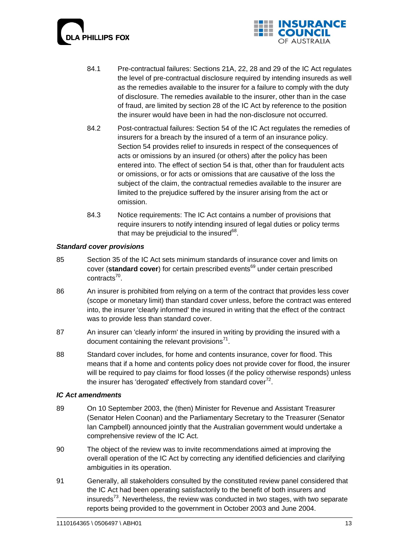



- 84.1 Pre-contractual failures: Sections 21A, 22, 28 and 29 of the IC Act regulates the level of pre-contractual disclosure required by intending insureds as well as the remedies available to the insurer for a failure to comply with the duty of disclosure. The remedies available to the insurer, other than in the case of fraud, are limited by section 28 of the IC Act by reference to the position the insurer would have been in had the non-disclosure not occurred.
- 84.2 Post-contractual failures: Section 54 of the IC Act regulates the remedies of insurers for a breach by the insured of a term of an insurance policy. Section 54 provides relief to insureds in respect of the consequences of acts or omissions by an insured (or others) after the policy has been entered into. The effect of section 54 is that, other than for fraudulent acts or omissions, or for acts or omissions that are causative of the loss the subject of the claim, the contractual remedies available to the insurer are limited to the prejudice suffered by the insurer arising from the act or omission.
- 84.3 Notice requirements: The IC Act contains a number of provisions that require insurers to notify intending insured of legal duties or policy terms that may be prejudicial to the insured $^{68}$ .

### *Standard cover provisions*

- 85 Section 35 of the IC Act sets minimum standards of insurance cover and limits on cover (**standard cover**) for certain prescribed events<sup>69</sup> under certain prescribed contracts<sup>70</sup>.
- 86 An insurer is prohibited from relying on a term of the contract that provides less cover (scope or monetary limit) than standard cover unless, before the contract was entered into, the insurer 'clearly informed' the insured in writing that the effect of the contract was to provide less than standard cover.
- 87 An insurer can 'clearly inform' the insured in writing by providing the insured with a document containing the relevant provisions $71$ .
- 88 Standard cover includes, for home and contents insurance, cover for flood. This means that if a home and contents policy does not provide cover for flood, the insurer will be required to pay claims for flood losses (if the policy otherwise responds) unless the insurer has 'derogated' effectively from standard cover $^{72}$ .

### *IC Act amendments*

- 89 On 10 September 2003, the (then) Minister for Revenue and Assistant Treasurer (Senator Helen Coonan) and the Parliamentary Secretary to the Treasurer (Senator Ian Campbell) announced jointly that the Australian government would undertake a comprehensive review of the IC Act.
- 90 The object of the review was to invite recommendations aimed at improving the overall operation of the IC Act by correcting any identified deficiencies and clarifying ambiguities in its operation.
- 91 Generally, all stakeholders consulted by the constituted review panel considered that the IC Act had been operating satisfactorily to the benefit of both insurers and insureds<sup>73</sup>. Nevertheless, the review was conducted in two stages, with two separate reports being provided to the government in October 2003 and June 2004.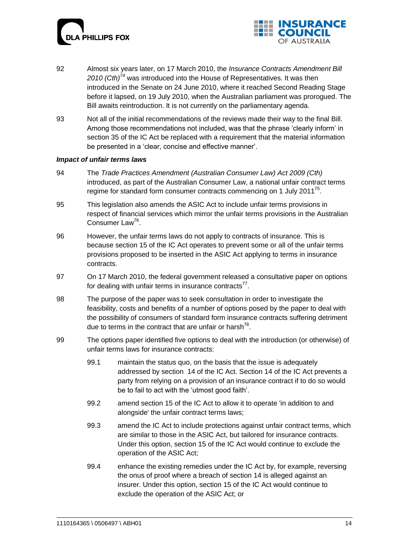



- 92 Almost six years later, on 17 March 2010, the *Insurance Contracts Amendment Bill 2010 (Cth)<sup>74</sup>* was introduced into the House of Representatives. It was then introduced in the Senate on 24 June 2010, where it reached Second Reading Stage before it lapsed, on 19 July 2010, when the Australian parliament was prorogued. The Bill awaits reintroduction. It is not currently on the parliamentary agenda.
- 93 Not all of the initial recommendations of the reviews made their way to the final Bill. Among those recommendations not included, was that the phrase "clearly inform" in section 35 of the IC Act be replaced with a requirement that the material information be presented in a 'clear, concise and effective manner'.

### *Impact of unfair terms laws*

- 94 The *Trade Practices Amendment (Australian Consumer Law) Act 2009 (Cth)* introduced, as part of the Australian Consumer Law, a national unfair contract terms regime for standard form consumer contracts commencing on 1 July 2011<sup>75</sup>.
- 95 This legislation also amends the ASIC Act to include unfair terms provisions in respect of financial services which mirror the unfair terms provisions in the Australian Consumer Law<sup>76</sup>.
- 96 However, the unfair terms laws do not apply to contracts of insurance. This is because section 15 of the IC Act operates to prevent some or all of the unfair terms provisions proposed to be inserted in the ASIC Act applying to terms in insurance contracts.
- 97 On 17 March 2010, [the federal government released](http://ministers.treasury.gov.au/DisplayDocs.aspx?doc=pressreleases/2010/027.htm&pageID=003&min=ceba&Year=&DocType=) a consultative paper on options for dealing with unfair terms in insurance contracts $^{77}$ .
- 98 The purpose of the paper was to seek consultation in order to investigate the feasibility, costs and benefits of a number of options posed by the paper to deal with the possibility of consumers of standard form insurance contracts suffering detriment due to terms in the contract that are unfair or harsh<sup>78</sup>.
- 99 The options paper identified five options to deal with the introduction (or otherwise) of unfair terms laws for insurance contracts:
	- 99.1 maintain the status quo, on the basis that the issue is adequately addressed by section 14 of the IC Act. Section 14 of the IC Act prevents a party from relying on a provision of an insurance contract if to do so would be to fail to act with the "utmost good faith".
	- 99.2 amend section 15 of the IC Act to allow it to operate 'in addition to and alongside' the unfair contract terms laws;
	- 99.3 amend the IC Act to include protections against unfair contract terms, which are similar to those in the ASIC Act, but tailored for insurance contracts. Under this option, section 15 of the IC Act would continue to exclude the operation of the ASIC Act;
	- 99.4 enhance the existing remedies under the IC Act by, for example, reversing the onus of proof where a breach of section 14 is alleged against an insurer. Under this option, section 15 of the IC Act would continue to exclude the operation of the ASIC Act; or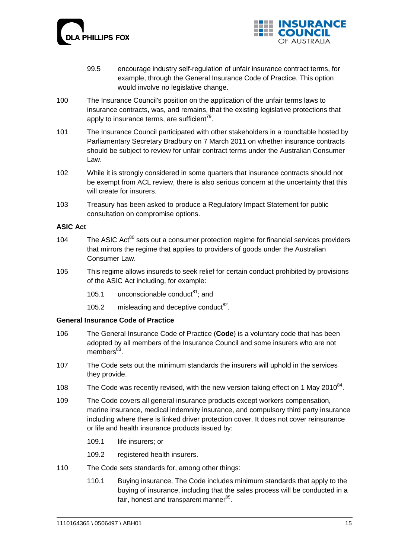



- 99.5 encourage industry self-regulation of unfair insurance contract terms, for example, through the General Insurance Code of Practice. This option would involve no legislative change.
- 100 The Insurance Council's position on the application of the unfair terms laws to insurance contracts, was, and remains, that the existing legislative protections that apply to insurance terms, are sufficient<sup>79</sup>.
- 101 The Insurance Council participated with other stakeholders in a roundtable hosted by Parliamentary Secretary Bradbury on 7 March 2011 on whether insurance contracts should be subject to review for unfair contract terms under the Australian Consumer Law.
- 102 While it is strongly considered in some quarters that insurance contracts should not be exempt from ACL review, there is also serious concern at the uncertainty that this will create for insurers.
- 103 Treasury has been asked to produce a Regulatory Impact Statement for public consultation on compromise options.

### **ASIC Act**

- 104 The ASIC Act<sup>80</sup> sets out a consumer protection regime for financial services providers that mirrors the regime that applies to providers of goods under the Australian Consumer Law.
- 105 This regime allows insureds to seek relief for certain conduct prohibited by provisions of the ASIC Act including, for example:
	- 105.1 unconscionable conduct<sup>81</sup>; and
	- 105.2 misleading and deceptive conduct $^{82}$ .

### **General Insurance Code of Practice**

- 106 The General Insurance Code of Practice (**Code**) is a voluntary code that has been adopted by all members of the Insurance Council and some insurers who are not members<sup>83</sup>.
- 107 The Code sets out the minimum standards the insurers will uphold in the services they provide.
- 108 The Code was recently revised, with the new version taking effect on 1 May 2010<sup>84</sup>.
- 109 The Code covers all general insurance products except workers compensation, marine insurance, medical indemnity insurance, and compulsory third party insurance including where there is linked driver protection cover. It does not cover reinsurance or life and health insurance products issued by:
	- 109.1 life insurers; or
	- 109.2 registered health insurers.
- 110 The Code sets standards for, among other things:
	- 110.1 Buying insurance. The Code includes minimum standards that apply to the buying of insurance, including that the sales process will be conducted in a fair, honest and transparent manner<sup>85</sup>.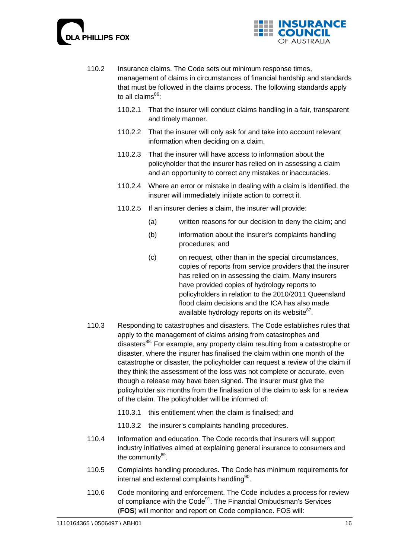



- 110.2 Insurance claims. The Code sets out minimum response times, management of claims in circumstances of financial hardship and standards that must be followed in the claims process. The following standards apply to all claims $^{86}$ :
	- 110.2.1 That the insurer will conduct claims handling in a fair, transparent and timely manner.
	- 110.2.2 That the insurer will only ask for and take into account relevant information when deciding on a claim.
	- 110.2.3 That the insurer will have access to information about the policyholder that the insurer has relied on in assessing a claim and an opportunity to correct any mistakes or inaccuracies.
	- 110.2.4 Where an error or mistake in dealing with a claim is identified, the insurer will immediately initiate action to correct it.
	- 110.2.5 If an insurer denies a claim, the insurer will provide:
		- (a) written reasons for our decision to deny the claim; and
		- (b) information about the insurer's complaints handling procedures; and
		- (c) on request, other than in the special circumstances, copies of reports from service providers that the insurer has relied on in assessing the claim. Many insurers have provided copies of hydrology reports to policyholders in relation to the 2010/2011 Queensland flood claim decisions and the ICA has also made available hydrology reports on its website<sup>87</sup>.
- 110.3 Responding to catastrophes and disasters. The Code establishes rules that apply to the management of claims arising from catastrophes and disasters<sup>88.</sup> For example, any property claim resulting from a catastrophe or disaster, where the insurer has finalised the claim within one month of the catastrophe or disaster, the policyholder can request a review of the claim if they think the assessment of the loss was not complete or accurate, even though a release may have been signed. The insurer must give the policyholder six months from the finalisation of the claim to ask for a review of the claim. The policyholder will be informed of:
	- 110.3.1 this entitlement when the claim is finalised; and
	- 110.3.2 the insurer's complaints handling procedures.
- 110.4 Information and education. The Code records that insurers will support industry initiatives aimed at explaining general insurance to consumers and the community<sup>89</sup>.
- 110.5 Complaints handling procedures. The Code has minimum requirements for internal and external complaints handling<sup>90</sup>.
- 110.6 Code monitoring and enforcement. The Code includes a process for review of compliance with the Code<sup>91</sup>. The Financial Ombudsman's Services (**FOS**) will monitor and report on Code compliance. FOS will: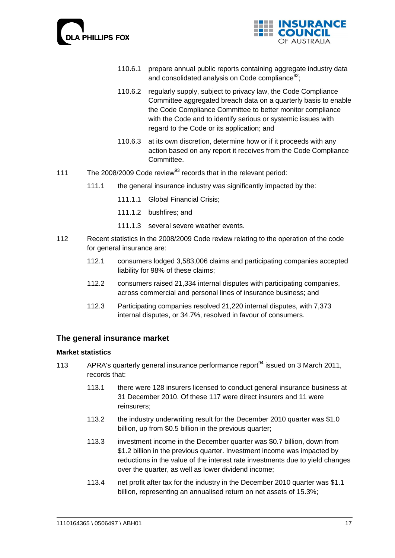



- 110.6.1 prepare annual public reports containing aggregate industry data and consolidated analysis on Code compliance $92$ :
- 110.6.2 regularly supply, subject to privacy law, the Code Compliance Committee aggregated breach data on a quarterly basis to enable the Code Compliance Committee to better monitor compliance with the Code and to identify serious or systemic issues with regard to the Code or its application; and
- 110.6.3 at its own discretion, determine how or if it proceeds with any action based on any report it receives from the Code Compliance Committee.
- 111 The 2008/2009 Code review<sup>93</sup> records that in the relevant period:
	- 111.1 the general insurance industry was significantly impacted by the:
		- 111.1.1 Global Financial Crisis;
		- 111.1.2 bushfires; and
		- 111.1.3 several severe weather events.
- 112 Recent statistics in the 2008/2009 Code review relating to the operation of the code for general insurance are:
	- 112.1 consumers lodged 3,583,006 claims and participating companies accepted liability for 98% of these claims;
	- 112.2 consumers raised 21,334 internal disputes with participating companies, across commercial and personal lines of insurance business; and
	- 112.3 Participating companies resolved 21,220 internal disputes, with 7,373 internal disputes, or 34.7%, resolved in favour of consumers.

### **The general insurance market**

### **Market statistics**

- 113 APRA's quarterly general insurance performance report<sup>94</sup> issued on 3 March 2011, records that:
	- 113.1 there were 128 insurers licensed to conduct general insurance business at 31 December 2010. Of these 117 were direct insurers and 11 were reinsurers;
	- 113.2 the industry underwriting result for the December 2010 quarter was \$1.0 billion, up from \$0.5 billion in the previous quarter;
	- 113.3 investment income in the December quarter was \$0.7 billion, down from \$1.2 billion in the previous quarter. Investment income was impacted by reductions in the value of the interest rate investments due to yield changes over the quarter, as well as lower dividend income;
	- 113.4 net profit after tax for the industry in the December 2010 quarter was \$1.1 billion, representing an annualised return on net assets of 15.3%;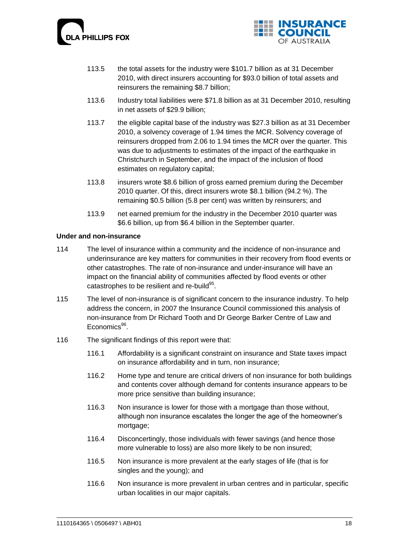



- 113.5 the total assets for the industry were \$101.7 billion as at 31 December 2010, with direct insurers accounting for \$93.0 billion of total assets and reinsurers the remaining \$8.7 billion;
- 113.6 Industry total liabilities were \$71.8 billion as at 31 December 2010, resulting in net assets of \$29.9 billion;
- 113.7 the eligible capital base of the industry was \$27.3 billion as at 31 December 2010, a solvency coverage of 1.94 times the MCR. Solvency coverage of reinsurers dropped from 2.06 to 1.94 times the MCR over the quarter. This was due to adjustments to estimates of the impact of the earthquake in Christchurch in September, and the impact of the inclusion of flood estimates on regulatory capital;
- 113.8 insurers wrote \$8.6 billion of gross earned premium during the December 2010 quarter. Of this, direct insurers wrote \$8.1 billion (94.2 %). The remaining \$0.5 billion (5.8 per cent) was written by reinsurers; and
- 113.9 net earned premium for the industry in the December 2010 quarter was \$6.6 billion, up from \$6.4 billion in the September quarter.

### **Under and non-insurance**

- 114 The level of insurance within a community and the incidence of non-insurance and underinsurance are key matters for communities in their recovery from flood events or other catastrophes. The rate of non-insurance and under-insurance will have an impact on the financial ability of communities affected by flood events or other catastrophes to be resilient and re-build<sup>95</sup>.
- 115 The level of non-insurance is of significant concern to the insurance industry. To help address the concern, in 2007 the Insurance Council commissioned this analysis of non-insurance from Dr Richard Tooth and Dr George Barker Centre of Law and Economics<sup>96</sup>.
- 116 The significant findings of this report were that:
	- 116.1 Affordability is a significant constraint on insurance and State taxes impact on insurance affordability and in turn, non insurance;
	- 116.2 Home type and tenure are critical drivers of non insurance for both buildings and contents cover although demand for contents insurance appears to be more price sensitive than building insurance;
	- 116.3 Non insurance is lower for those with a mortgage than those without, although non insurance escalates the longer the age of the homeowner"s mortgage;
	- 116.4 Disconcertingly, those individuals with fewer savings (and hence those more vulnerable to loss) are also more likely to be non insured;
	- 116.5 Non insurance is more prevalent at the early stages of life (that is for singles and the young); and
	- 116.6 Non insurance is more prevalent in urban centres and in particular, specific urban localities in our major capitals.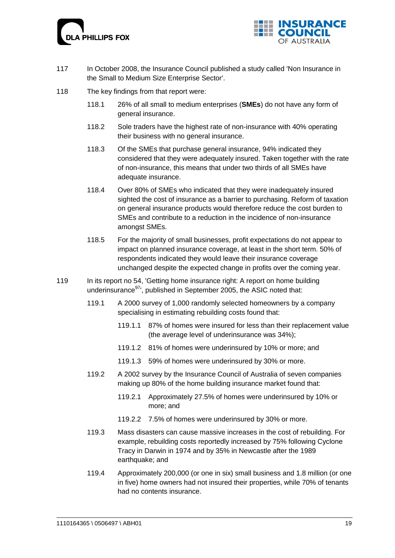



- 117 In October 2008, the Insurance Council published a study called 'Non Insurance in the Small to Medium Size Enterprise Sector'.
- 118 The key findings from that report were:
	- 118.1 26% of all small to medium enterprises (**SMEs**) do not have any form of general insurance.
	- 118.2 Sole traders have the highest rate of non-insurance with 40% operating their business with no general insurance.
	- 118.3 Of the SMEs that purchase general insurance, 94% indicated they considered that they were adequately insured. Taken together with the rate of non-insurance, this means that under two thirds of all SMEs have adequate insurance.
	- 118.4 Over 80% of SMEs who indicated that they were inadequately insured sighted the cost of insurance as a barrier to purchasing. Reform of taxation on general insurance products would therefore reduce the cost burden to SMEs and contribute to a reduction in the incidence of non-insurance amongst SMEs.
	- 118.5 For the majority of small businesses, profit expectations do not appear to impact on planned insurance coverage, at least in the short term. 50% of respondents indicated they would leave their insurance coverage unchanged despite the expected change in profits over the coming year.
- 119 In its report no 54, 'Getting home insurance right: A report on home building underinsurance<sup>97</sup>', published in September 2005, the ASIC noted that:
	- 119.1 A 2000 survey of 1,000 randomly selected homeowners by a company specialising in estimating rebuilding costs found that:
		- 119.1.1 87% of homes were insured for less than their replacement value (the average level of underinsurance was 34%);
		- 119.1.2 81% of homes were underinsured by 10% or more; and
		- 119.1.3 59% of homes were underinsured by 30% or more.
	- 119.2 A 2002 survey by the Insurance Council of Australia of seven companies making up 80% of the home building insurance market found that:
		- 119.2.1 Approximately 27.5% of homes were underinsured by 10% or more; and
		- 119.2.2 7.5% of homes were underinsured by 30% or more.
	- 119.3 Mass disasters can cause massive increases in the cost of rebuilding. For example, rebuilding costs reportedly increased by 75% following Cyclone Tracy in Darwin in 1974 and by 35% in Newcastle after the 1989 earthquake; and
	- 119.4 Approximately 200,000 (or one in six) small business and 1.8 million (or one in five) home owners had not insured their properties, while 70% of tenants had no contents insurance.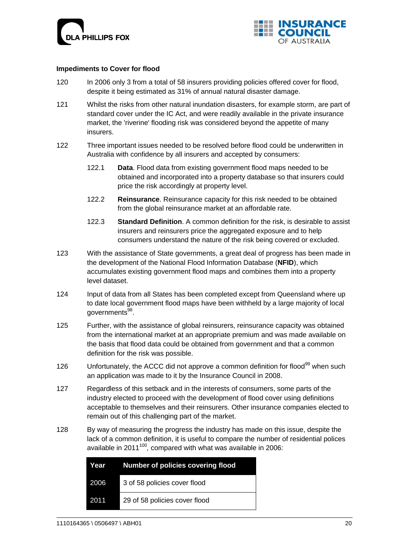



### **Impediments to Cover for flood**

- 120 In 2006 only 3 from a total of 58 insurers providing policies offered cover for flood, despite it being estimated as 31% of annual natural disaster damage.
- 121 Whilst the risks from other natural inundation disasters, for example storm, are part of standard cover under the IC Act, and were readily available in the private insurance market, the 'riverine' flooding risk was considered beyond the appetite of many insurers.
- 122 Three important issues needed to be resolved before flood could be underwritten in Australia with confidence by all insurers and accepted by consumers:
	- 122.1 **Data**. Flood data from existing government flood maps needed to be obtained and incorporated into a property database so that insurers could price the risk accordingly at property level.
	- 122.2 **Reinsurance**. Reinsurance capacity for this risk needed to be obtained from the global reinsurance market at an affordable rate.
	- 122.3 **Standard Definition**. A common definition for the risk, is desirable to assist insurers and reinsurers price the aggregated exposure and to help consumers understand the nature of the risk being covered or excluded.
- 123 With the assistance of State governments, a great deal of progress has been made in the development of the National Flood Information Database (**NFID**), which accumulates existing government flood maps and combines them into a property level dataset.
- 124 Input of data from all States has been completed except from Queensland where up to date local government flood maps have been withheld by a large majority of local governments<sup>98</sup>.
- 125 Further, with the assistance of global reinsurers, reinsurance capacity was obtained from the international market at an appropriate premium and was made available on the basis that flood data could be obtained from government and that a common definition for the risk was possible.
- 126 Unfortunately, the ACCC did not approve a common definition for flood<sup>99</sup> when such an application was made to it by the Insurance Council in 2008.
- 127 Regardless of this setback and in the interests of consumers, some parts of the industry elected to proceed with the development of flood cover using definitions acceptable to themselves and their reinsurers. Other insurance companies elected to remain out of this challenging part of the market.
- 128 By way of measuring the progress the industry has made on this issue, despite the lack of a common definition, it is useful to compare the number of residential polices available in 2011<sup>100</sup>, compared with what was available in 2006:

|      | Year Number of policies covering flood |
|------|----------------------------------------|
| 2006 | 3 of 58 policies cover flood           |
| 2011 | 29 of 58 policies cover flood          |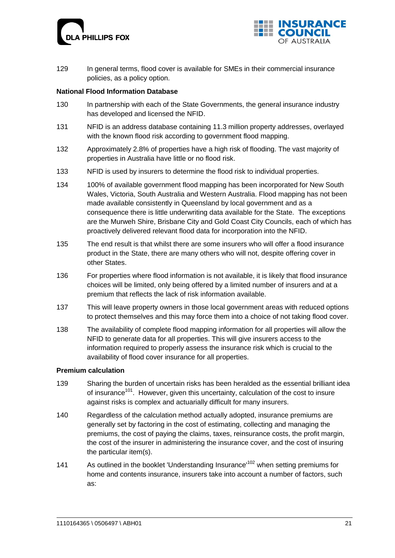



129 In general terms, flood cover is available for SMEs in their commercial insurance policies, as a policy option.

### **National Flood Information Database**

- 130 In partnership with each of the State Governments, the general insurance industry has developed and licensed the NFID.
- 131 NFID is an address database containing 11.3 million property addresses, overlayed with the known flood risk according to government flood mapping.
- 132 Approximately 2.8% of properties have a high risk of flooding. The vast majority of properties in Australia have little or no flood risk.
- 133 NFID is used by insurers to determine the flood risk to individual properties.
- 134 100% of available government flood mapping has been incorporated for New South Wales, Victoria, South Australia and Western Australia. Flood mapping has not been made available consistently in Queensland by local government and as a consequence there is little underwriting data available for the State. The exceptions are the Murweh Shire, Brisbane City and Gold Coast City Councils, each of which has proactively delivered relevant flood data for incorporation into the NFID.
- 135 The end result is that whilst there are some insurers who will offer a flood insurance product in the State, there are many others who will not, despite offering cover in other States.
- 136 For properties where flood information is not available, it is likely that flood insurance choices will be limited, only being offered by a limited number of insurers and at a premium that reflects the lack of risk information available.
- 137 This will leave property owners in those local government areas with reduced options to protect themselves and this may force them into a choice of not taking flood cover.
- 138 The availability of complete flood mapping information for all properties will allow the NFID to generate data for all properties. This will give insurers access to the information required to properly assess the insurance risk which is crucial to the availability of flood cover insurance for all properties.

### **Premium calculation**

- 139 Sharing the burden of uncertain risks has been heralded as the essential brilliant idea of insurance<sup>101</sup>. However, given this uncertainty, calculation of the cost to insure against risks is complex and actuarially difficult for many insurers.
- 140 Regardless of the calculation method actually adopted, insurance premiums are generally set by factoring in the cost of estimating, collecting and managing the premiums, the cost of paying the claims, taxes, reinsurance costs, the profit margin, the cost of the insurer in administering the insurance cover, and the cost of insuring the particular item(s).
- 141 As outlined in the booklet 'Understanding Insurance'<sup>102</sup> when setting premiums for home and contents insurance, insurers take into account a number of factors, such as: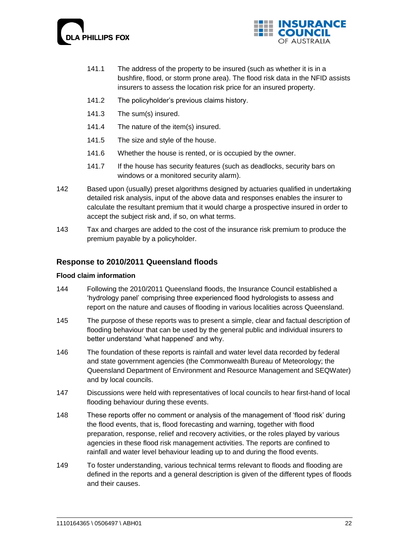



- 141.1 The address of the property to be insured (such as whether it is in a bushfire, flood, or storm prone area). The flood risk data in the NFID assists insurers to assess the location risk price for an insured property.
- 141.2 The policyholder"s previous claims history.
- 141.3 The sum(s) insured.
- 141.4 The nature of the item(s) insured.
- 141.5 The size and style of the house.
- 141.6 Whether the house is rented, or is occupied by the owner.
- 141.7 If the house has security features (such as deadlocks, security bars on windows or a monitored security alarm).
- 142 Based upon (usually) preset algorithms designed by actuaries qualified in undertaking detailed risk analysis, input of the above data and responses enables the insurer to calculate the resultant premium that it would charge a prospective insured in order to accept the subject risk and, if so, on what terms.
- 143 Tax and charges are added to the cost of the insurance risk premium to produce the premium payable by a policyholder.

# **Response to 2010/2011 Queensland floods**

### **Flood claim information**

- 144 Following the 2010/2011 Queensland floods, the Insurance Council established a "hydrology panel" comprising three experienced flood hydrologists to assess and report on the nature and causes of flooding in various localities across Queensland.
- 145 The purpose of these reports was to present a simple, clear and factual description of flooding behaviour that can be used by the general public and individual insurers to better understand 'what happened' and why.
- 146 The foundation of these reports is rainfall and water level data recorded by federal and state government agencies (the Commonwealth Bureau of Meteorology; the Queensland Department of Environment and Resource Management and SEQWater) and by local councils.
- 147 Discussions were held with representatives of local councils to hear first-hand of local flooding behaviour during these events.
- 148 These reports offer no comment or analysis of the management of "flood risk" during the flood events, that is, flood forecasting and warning, together with flood preparation, response, relief and recovery activities, or the roles played by various agencies in these flood risk management activities. The reports are confined to rainfall and water level behaviour leading up to and during the flood events.
- 149 To foster understanding, various technical terms relevant to floods and flooding are defined in the reports and a general description is given of the different types of floods and their causes.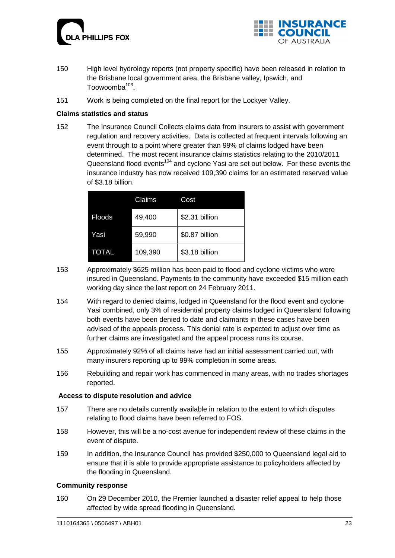



- 150 High level hydrology reports (not property specific) have been released in relation to the Brisbane local government area, the Brisbane valley, Ipswich, and Toowoomba<sup>103</sup>.
- 151 Work is being completed on the final report for the Lockyer Valley.

### **Claims statistics and status**

152 The Insurance Council Collects claims data from insurers to assist with government regulation and recovery activities. Data is collected at frequent intervals following an event through to a point where greater than 99% of claims lodged have been determined. The most recent insurance claims statistics relating to the 2010/2011 Queensland flood events<sup>104</sup> and cyclone Yasi are set out below. For these events the insurance industry has now received 109,390 claims for an estimated reserved value of \$3.18 billion.

|               | Claims  | Cost           |
|---------------|---------|----------------|
| <b>Floods</b> | 49,400  | \$2.31 billion |
| Yasi          | 59,990  | \$0.87 billion |
| <b>TOTAL</b>  | 109,390 | \$3.18 billion |

- 153 Approximately \$625 million has been paid to flood and cyclone victims who were insured in Queensland. Payments to the community have exceeded \$15 million each working day since the last report on 24 February 2011.
- 154 With regard to denied claims, lodged in Queensland for the flood event and cyclone Yasi combined, only 3% of residential property claims lodged in Queensland following both events have been denied to date and claimants in these cases have been advised of the appeals process. This denial rate is expected to adjust over time as further claims are investigated and the appeal process runs its course.
- 155 Approximately 92% of all claims have had an initial assessment carried out, with many insurers reporting up to 99% completion in some areas.
- 156 Rebuilding and repair work has commenced in many areas, with no trades shortages reported.

### **Access to dispute resolution and advice**

- 157 There are no details currently available in relation to the extent to which disputes relating to flood claims have been referred to FOS.
- 158 However, this will be a no-cost avenue for independent review of these claims in the event of dispute.
- 159 In addition, the Insurance Council has provided \$250,000 to Queensland legal aid to ensure that it is able to provide appropriate assistance to policyholders affected by the flooding in Queensland.

### **Community response**

160 On 29 December 2010, the Premier launched a disaster relief appeal to help those affected by wide spread flooding in Queensland.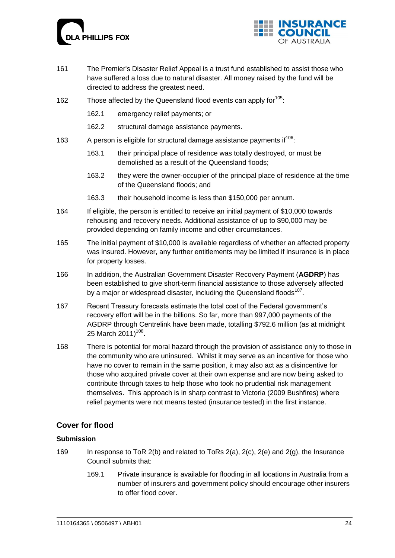



- 161 The Premier's Disaster Relief Appeal is a trust fund established to assist those who have suffered a loss due to natural disaster. All money raised by the fund will be directed to address the greatest need.
- 162 Those affected by the Queensland flood events can apply for <sup>105</sup>:
	- 162.1 emergency relief payments; or
	- 162.2 structural damage assistance payments.
- 163 A person is eligible for structural damage assistance payments if  $106$ :
	- 163.1 their principal place of residence was totally destroyed, or must be demolished as a result of the Queensland floods;
	- 163.2 they were the owner-occupier of the principal place of residence at the time of the Queensland floods; and
	- 163.3 their household income is less than \$150,000 per annum.
- 164 If eligible, the person is entitled to receive an initial payment of \$10,000 towards rehousing and recovery needs. Additional assistance of up to \$90,000 may be provided depending on family income and other circumstances.
- 165 The initial payment of \$10,000 is available regardless of whether an affected property was insured. However, any further entitlements may be limited if insurance is in place for property losses.
- 166 In addition, the Australian Government Disaster Recovery Payment (**AGDRP**) has been established to give short-term financial assistance to those adversely affected by a major or widespread disaster, including the Queensland floods<sup>107</sup>.
- 167 Recent Treasury forecasts estimate the total cost of the Federal government"s recovery effort will be in the billions. So far, more than 997,000 payments of the AGDRP through Centrelink have been made, totalling \$792.6 million (as at midnight 25 March 2011)<sup>108</sup>.
- 168 There is potential for moral hazard through the provision of assistance only to those in the community who are uninsured. Whilst it may serve as an incentive for those who have no cover to remain in the same position, it may also act as a disincentive for those who acquired private cover at their own expense and are now being asked to contribute through taxes to help those who took no prudential risk management themselves. This approach is in sharp contrast to Victoria (2009 Bushfires) where relief payments were not means tested (insurance tested) in the first instance.

# **Cover for flood**

### **Submission**

- 169 In response to ToR 2(b) and related to ToRs 2(a), 2(c), 2(e) and 2(g), the Insurance Council submits that:
	- 169.1 Private insurance is available for flooding in all locations in Australia from a number of insurers and government policy should encourage other insurers to offer flood cover.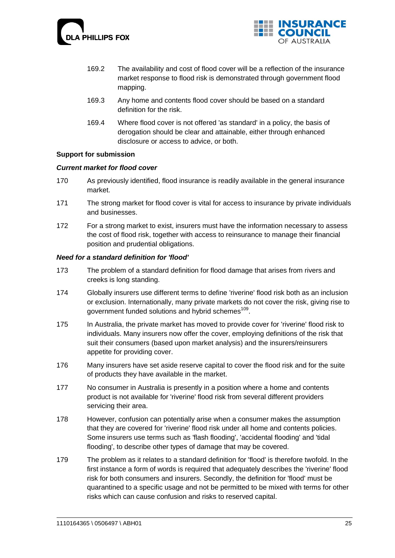



- 169.2 The availability and cost of flood cover will be a reflection of the insurance market response to flood risk is demonstrated through government flood mapping.
- 169.3 Any home and contents flood cover should be based on a standard definition for the risk.
- 169.4 Where flood cover is not offered 'as standard' in a policy, the basis of derogation should be clear and attainable, either through enhanced disclosure or access to advice, or both.

### **Support for submission**

### *Current market for flood cover*

- 170 As previously identified, flood insurance is readily available in the general insurance market.
- 171 The strong market for flood cover is vital for access to insurance by private individuals and businesses.
- 172 For a strong market to exist, insurers must have the information necessary to assess the cost of flood risk, together with access to reinsurance to manage their financial position and prudential obligations.

### *Need for a standard definition for 'flood'*

- 173 The problem of a standard definition for flood damage that arises from rivers and creeks is long standing.
- 174 Globally insurers use different terms to define 'riverine' flood risk both as an inclusion or exclusion. Internationally, many private markets do not cover the risk, giving rise to government funded solutions and hybrid schemes<sup>109</sup>.
- 175 In Australia, the private market has moved to provide cover for 'riverine' flood risk to individuals. Many insurers now offer the cover, employing definitions of the risk that suit their consumers (based upon market analysis) and the insurers/reinsurers appetite for providing cover.
- 176 Many insurers have set aside reserve capital to cover the flood risk and for the suite of products they have available in the market.
- 177 No consumer in Australia is presently in a position where a home and contents product is not available for 'riverine' flood risk from several different providers servicing their area.
- 178 However, confusion can potentially arise when a consumer makes the assumption that they are covered for 'riverine' flood risk under all home and contents policies. Some insurers use terms such as 'flash flooding', 'accidental flooding' and 'tidal flooding', to describe other types of damage that may be covered.
- 179 The problem as it relates to a standard definition for 'flood' is therefore twofold. In the first instance a form of words is required that adequately describes the 'riverine' flood risk for both consumers and insurers. Secondly, the definition for 'flood' must be quarantined to a specific usage and not be permitted to be mixed with terms for other risks which can cause confusion and risks to reserved capital.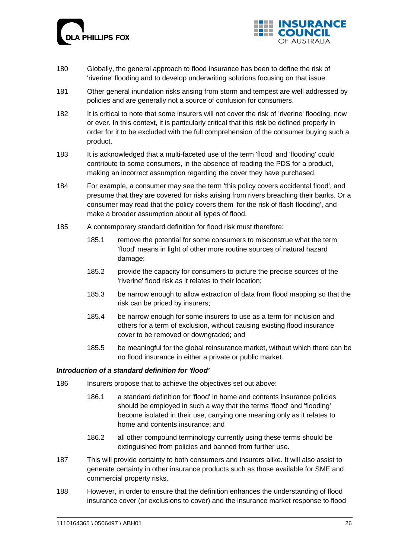



- 180 Globally, the general approach to flood insurance has been to define the risk of 'riverine' flooding and to develop underwriting solutions focusing on that issue.
- 181 Other general inundation risks arising from storm and tempest are well addressed by policies and are generally not a source of confusion for consumers.
- 182 It is critical to note that some insurers will not cover the risk of 'riverine' flooding, now or ever. In this context, it is particularly critical that this risk be defined properly in order for it to be excluded with the full comprehension of the consumer buying such a product.
- 183 It is acknowledged that a multi-faceted use of the term 'flood' and 'flooding' could contribute to some consumers, in the absence of reading the PDS for a product, making an incorrect assumption regarding the cover they have purchased.
- 184 For example, a consumer may see the term 'this policy covers accidental flood', and presume that they are covered for risks arising from rivers breaching their banks. Or a consumer may read that the policy covers them 'for the risk of flash flooding', and make a broader assumption about all types of flood.
- 185 A contemporary standard definition for flood risk must therefore:
	- 185.1 remove the potential for some consumers to misconstrue what the term 'flood' means in light of other more routine sources of natural hazard damage;
	- 185.2 provide the capacity for consumers to picture the precise sources of the 'riverine' flood risk as it relates to their location;
	- 185.3 be narrow enough to allow extraction of data from flood mapping so that the risk can be priced by insurers;
	- 185.4 be narrow enough for some insurers to use as a term for inclusion and others for a term of exclusion, without causing existing flood insurance cover to be removed or downgraded; and
	- 185.5 be meaningful for the global reinsurance market, without which there can be no flood insurance in either a private or public market.

### *Introduction of a standard definition for 'flood'*

- 186 Insurers propose that to achieve the objectives set out above:
	- 186.1 a standard definition for 'flood' in home and contents insurance policies should be employed in such a way that the terms 'flood' and 'flooding' become isolated in their use, carrying one meaning only as it relates to home and contents insurance; and
	- 186.2 all other compound terminology currently using these terms should be extinguished from policies and banned from further use.
- 187 This will provide certainty to both consumers and insurers alike. It will also assist to generate certainty in other insurance products such as those available for SME and commercial property risks.
- 188 However, in order to ensure that the definition enhances the understanding of flood insurance cover (or exclusions to cover) and the insurance market response to flood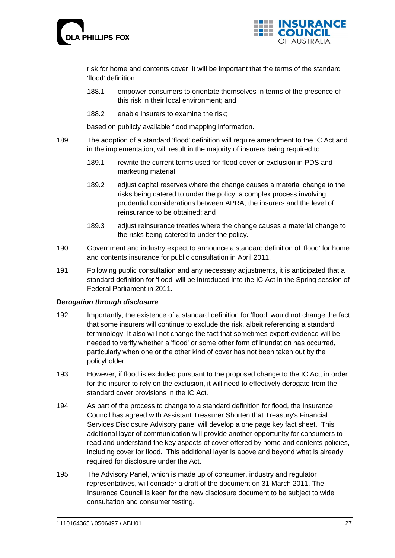



risk for home and contents cover, it will be important that the terms of the standard 'flood' definition:

- 188.1 empower consumers to orientate themselves in terms of the presence of this risk in their local environment; and
- 188.2 enable insurers to examine the risk;

based on publicly available flood mapping information.

- 189 The adoption of a standard 'flood' definition will require amendment to the IC Act and in the implementation, will result in the majority of insurers being required to:
	- 189.1 rewrite the current terms used for flood cover or exclusion in PDS and marketing material;
	- 189.2 adjust capital reserves where the change causes a material change to the risks being catered to under the policy, a complex process involving prudential considerations between APRA, the insurers and the level of reinsurance to be obtained; and
	- 189.3 adjust reinsurance treaties where the change causes a material change to the risks being catered to under the policy.
- 190 Government and industry expect to announce a standard definition of 'flood' for home and contents insurance for public consultation in April 2011.
- 191 Following public consultation and any necessary adjustments, it is anticipated that a standard definition for 'flood' will be introduced into the IC Act in the Spring session of Federal Parliament in 2011.

### *Derogation through disclosure*

- 192 Importantly, the existence of a standard definition for 'flood' would not change the fact that some insurers will continue to exclude the risk, albeit referencing a standard terminology. It also will not change the fact that sometimes expert evidence will be needed to verify whether a 'flood' or some other form of inundation has occurred, particularly when one or the other kind of cover has not been taken out by the policyholder.
- 193 However, if flood is excluded pursuant to the proposed change to the IC Act, in order for the insurer to rely on the exclusion, it will need to effectively derogate from the standard cover provisions in the IC Act.
- 194 As part of the process to change to a standard definition for flood, the Insurance Council has agreed with Assistant Treasurer Shorten that Treasury's Financial Services Disclosure Advisory panel will develop a one page key fact sheet. This additional layer of communication will provide another opportunity for consumers to read and understand the key aspects of cover offered by home and contents policies, including cover for flood. This additional layer is above and beyond what is already required for disclosure under the Act.
- 195 The Advisory Panel, which is made up of consumer, industry and regulator representatives, will consider a draft of the document on 31 March 2011. The Insurance Council is keen for the new disclosure document to be subject to wide consultation and consumer testing.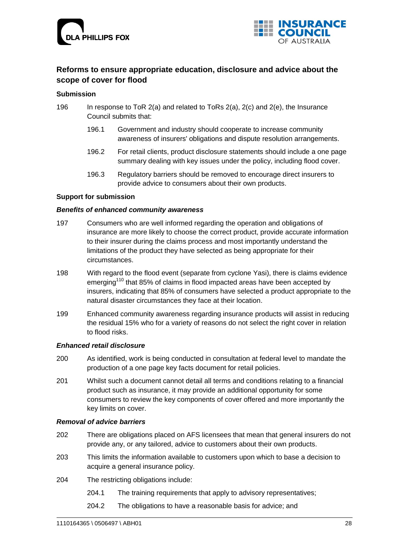



# **Reforms to ensure appropriate education, disclosure and advice about the scope of cover for flood**

### **Submission**

- 196 In response to ToR 2(a) and related to ToRs 2(a), 2(c) and 2(e), the Insurance Council submits that:
	- 196.1 Government and industry should cooperate to increase community awareness of insurers' obligations and dispute resolution arrangements.
	- 196.2 For retail clients, product disclosure statements should include a one page summary dealing with key issues under the policy, including flood cover.
	- 196.3 Regulatory barriers should be removed to encourage direct insurers to provide advice to consumers about their own products.

### **Support for submission**

### *Benefits of enhanced community awareness*

- 197 Consumers who are well informed regarding the operation and obligations of insurance are more likely to choose the correct product, provide accurate information to their insurer during the claims process and most importantly understand the limitations of the product they have selected as being appropriate for their circumstances.
- 198 With regard to the flood event (separate from cyclone Yasi), there is claims evidence emerging<sup>110</sup> that 85% of claims in flood impacted areas have been accepted by insurers, indicating that 85% of consumers have selected a product appropriate to the natural disaster circumstances they face at their location.
- 199 Enhanced community awareness regarding insurance products will assist in reducing the residual 15% who for a variety of reasons do not select the right cover in relation to flood risks.

### *Enhanced retail disclosure*

- 200 As identified, work is being conducted in consultation at federal level to mandate the production of a one page key facts document for retail policies.
- 201 Whilst such a document cannot detail all terms and conditions relating to a financial product such as insurance, it may provide an additional opportunity for some consumers to review the key components of cover offered and more importantly the key limits on cover.

### *Removal of advice barriers*

- 202 There are obligations placed on AFS licensees that mean that general insurers do not provide any, or any tailored, advice to customers about their own products.
- 203 This limits the information available to customers upon which to base a decision to acquire a general insurance policy.
- 204 The restricting obligations include:
	- 204.1 The training requirements that apply to advisory representatives;
	- 204.2 The obligations to have a reasonable basis for advice; and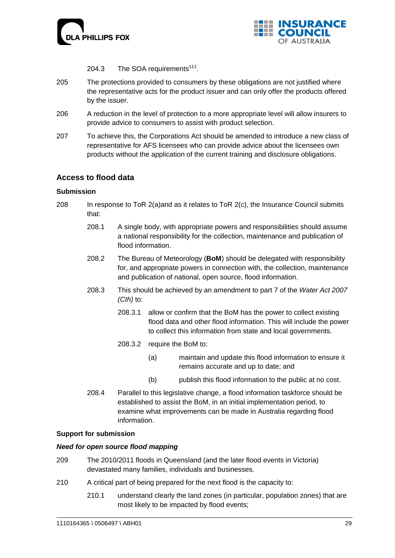



204.3 The SOA requirements<sup>111</sup>.

- 205 The protections provided to consumers by these obligations are not justified where the representative acts for the product issuer and can only offer the products offered by the issuer.
- 206 A reduction in the level of protection to a more appropriate level will allow insurers to provide advice to consumers to assist with product selection.
- 207 To achieve this, the Corporations Act should be amended to introduce a new class of representative for AFS licensees who can provide advice about the licensees own products without the application of the current training and disclosure obligations.

# **Access to flood data**

### **Submission**

- 208 In response to ToR 2(a)and as it relates to ToR 2(c), the Insurance Council submits that:
	- 208.1 A single body, with appropriate powers and responsibilities should assume a national responsibility for the collection, maintenance and publication of flood information.
	- 208.2 The Bureau of Meteorology (**BoM**) should be delegated with responsibility for, and appropriate powers in connection with, the collection, maintenance and publication of national, open source, flood information.
	- 208.3 This should be achieved by an amendment to part 7 of the *[Water Act 2007](http://www.comlaw.gov.au/ComLaw/Legislation/Act1.nsf/all/search/E511A5A262379705CA25734C001ED679) (Cth)* to:
		- 208.3.1 allow or confirm that the BoM has the power to collect existing flood data and other flood information. This will include the power to collect this information from state and local governments.
		- 208.3.2 require the BoM to:
			- (a) maintain and update this flood information to ensure it remains accurate and up to date; and
			- (b) publish this flood information to the public at no cost.
	- 208.4 Parallel to this legislative change, a flood information taskforce should be established to assist the BoM, in an initial implementation period, to examine what improvements can be made in Australia regarding flood information.

### **Support for submission**

### *Need for open source flood mapping*

- 209 The 2010/2011 floods in Queensland (and the later flood events in Victoria) devastated many families, individuals and businesses.
- 210 A critical part of being prepared for the next flood is the capacity to:
	- 210.1 understand clearly the land zones (in particular, population zones) that are most likely to be impacted by flood events;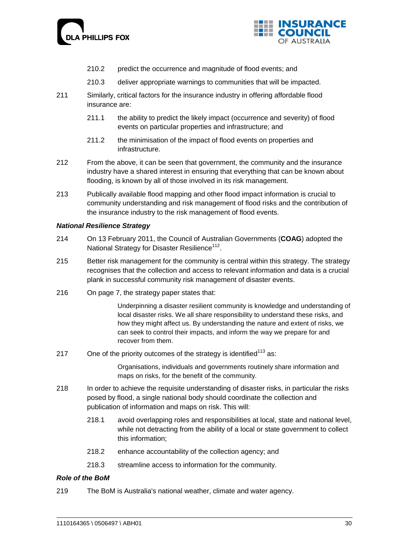



- 210.2 predict the occurrence and magnitude of flood events; and
- 210.3 deliver appropriate warnings to communities that will be impacted.
- 211 Similarly, critical factors for the insurance industry in offering affordable flood insurance are:
	- 211.1 the ability to predict the likely impact (occurrence and severity) of flood events on particular properties and infrastructure; and
	- 211.2 the minimisation of the impact of flood events on properties and infrastructure.
- 212 From the above, it can be seen that government, the community and the insurance industry have a shared interest in ensuring that everything that can be known about flooding, is known by all of those involved in its risk management.
- 213 Publically available flood mapping and other flood impact information is crucial to community understanding and risk management of flood risks and the contribution of the insurance industry to the risk management of flood events.

### *National Resilience Strategy*

- 214 On 13 February 2011, the Council of Australian Governments (**COAG**) adopted the National Strategy for Disaster Resilience<sup>112</sup>.
- 215 Better risk management for the community is central within this strategy. The strategy recognises that the collection and access to relevant information and data is a crucial plank in successful community risk management of disaster events.
- 216 On page 7, the strategy paper states that:

Underpinning a disaster resilient community is knowledge and understanding of local disaster risks. We all share responsibility to understand these risks, and how they might affect us. By understanding the nature and extent of risks, we can seek to control their impacts, and inform the way we prepare for and recover from them.

217 One of the priority outcomes of the strategy is identified<sup>113</sup> as:

Organisations, individuals and governments routinely share information and maps on risks, for the benefit of the community.

- 218 In order to achieve the requisite understanding of disaster risks, in particular the risks posed by flood, a single national body should coordinate the collection and publication of information and maps on risk. This will:
	- 218.1 avoid overlapping roles and responsibilities at local, state and national level, while not detracting from the ability of a local or state government to collect this information;
	- 218.2 enhance accountability of the collection agency; and
	- 218.3 streamline access to information for the community.

### *Role of the BoM*

219 The BoM is Australia's national weather, climate and water agency.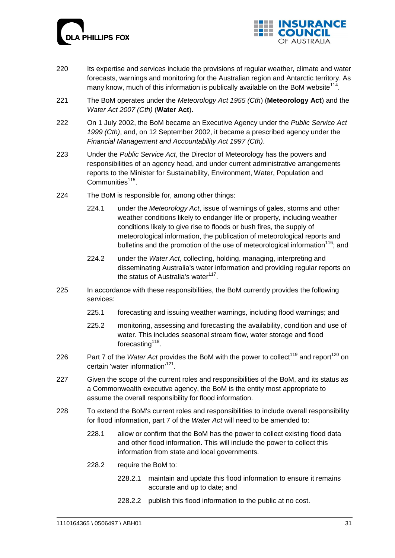



- 220 Its expertise and services include the provisions of regular weather, climate and water forecasts, warnings and monitoring for the Australian region and Antarctic territory. As many know, much of this information is publically available on the BoM website<sup>114</sup>.
- 221 The BoM operates under the *[Meteorology Act 1955](http://www.comlaw.gov.au/ComLaw/Legislation/ActCompilation1.nsf/all/search/8D55157E388803BDCA2573520003F357) (Cth*) (**Meteorology Act**) and the *[Water Act 2007](http://www.comlaw.gov.au/ComLaw/Legislation/Act1.nsf/all/search/E511A5A262379705CA25734C001ED679) (Cth)* (**Water Act**).
- 222 On 1 July 2002, the BoM became an Executive Agency under the *[Public Service Act](http://www.comlaw.gov.au/comlaw/Legislation/ActCompilation1.nsf/0/B2B52506ADE50574CA2575F400225FD4?OpenDocument)  [1999](http://www.comlaw.gov.au/comlaw/Legislation/ActCompilation1.nsf/0/B2B52506ADE50574CA2575F400225FD4?OpenDocument) (Cth)*, and, on 12 September 2002, it became a prescribed agency under the *[Financial Management and Accountability Act 1997](http://www.comlaw.gov.au/comlaw/Legislation/ActCompilation1.nsf/0/941B392689EDD64FCA25757D00817555?OpenDocument) (Cth)*.
- 223 Under the *Public Service Act*, the Director of Meteorology has the powers and responsibilities of an agency head, and under current administrative arrangements reports to the Minister for Sustainability, Environment, Water, Population and Communities<sup>115</sup>.
- 224 The BoM is responsible for, among other things:
	- 224.1 under the *Meteorology Act*, issue of warnings of gales, storms and other weather conditions likely to endanger life or property, including weather conditions likely to give rise to floods or bush fires, the supply of meteorological information, the publication of meteorological reports and bulletins and the promotion of the use of meteorological information<sup>116</sup>; and
	- 224.2 under the *Water Act*, collecting, holding, managing, interpreting and disseminating Australia's water information and providing regular reports on the status of Australia's water<sup>117</sup>.
- 225 In accordance with these responsibilities, the BoM currently provides the following services:
	- 225.1 forecasting and issuing weather warnings, including flood warnings; and
	- 225.2 monitoring, assessing and forecasting the availability, condition and use of water. This includes seasonal stream flow, water storage and flood forecasting<sup>118</sup>.
- 226 Part 7 of the *Water Act* provides the BoM with the power to collect<sup>119</sup> and report<sup>120</sup> on certain 'water information'<sup>121</sup>.
- 227 Given the scope of the current roles and responsibilities of the BoM, and its status as a Commonwealth executive agency, the BoM is the entity most appropriate to assume the overall responsibility for flood information.
- 228 To extend the BoM's current roles and responsibilities to include overall responsibility for flood information, part 7 of the *Water Act* will need to be amended to:
	- 228.1 allow or confirm that the BoM has the power to collect existing flood data and other flood information. This will include the power to collect this information from state and local governments.
	- 228.2 require the BoM to:
		- 228.2.1 maintain and update this flood information to ensure it remains accurate and up to date; and
		- 228.2.2 publish this flood information to the public at no cost.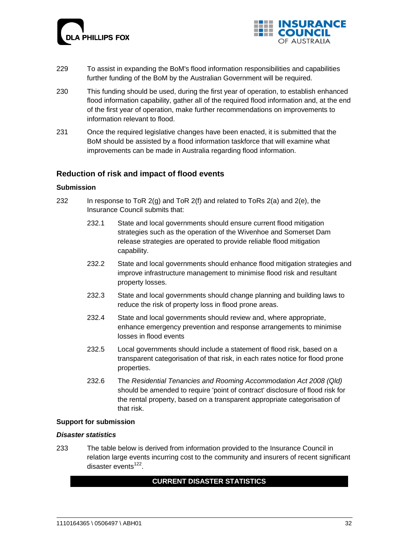



- 229 To assist in expanding the BoM's flood information responsibilities and capabilities further funding of the BoM by the Australian Government will be required.
- 230 This funding should be used, during the first year of operation, to establish enhanced flood information capability, gather all of the required flood information and, at the end of the first year of operation, make further recommendations on improvements to information relevant to flood.
- 231 Once the required legislative changes have been enacted, it is submitted that the BoM should be assisted by a flood information taskforce that will examine what improvements can be made in Australia regarding flood information.

# **Reduction of risk and impact of flood events**

### **Submission**

- 232 In response to ToR  $2(q)$  and ToR  $2(f)$  and related to ToRs  $2(a)$  and  $2(e)$ , the Insurance Council submits that:
	- 232.1 State and local governments should ensure current flood mitigation strategies such as the operation of the Wivenhoe and Somerset Dam release strategies are operated to provide reliable flood mitigation capability.
	- 232.2 State and local governments should enhance flood mitigation strategies and improve infrastructure management to minimise flood risk and resultant property losses.
	- 232.3 State and local governments should change planning and building laws to reduce the risk of property loss in flood prone areas.
	- 232.4 State and local governments should review and, where appropriate, enhance emergency prevention and response arrangements to minimise losses in flood events
	- 232.5 Local governments should include a statement of flood risk, based on a transparent categorisation of that risk, in each rates notice for flood prone properties.
	- 232.6 The *Residential Tenancies and Rooming Accommodation Act 2008 (Qld)* should be amended to require 'point of contract' disclosure of flood risk for the rental property, based on a transparent appropriate categorisation of that risk.

#### **Support for submission**

#### *Disaster statistics*

233 The table below is derived from information provided to the Insurance Council in relation large events incurring cost to the community and insurers of recent significant disaster events<sup>122</sup>.

### **CURRENT DISASTER STATISTICS**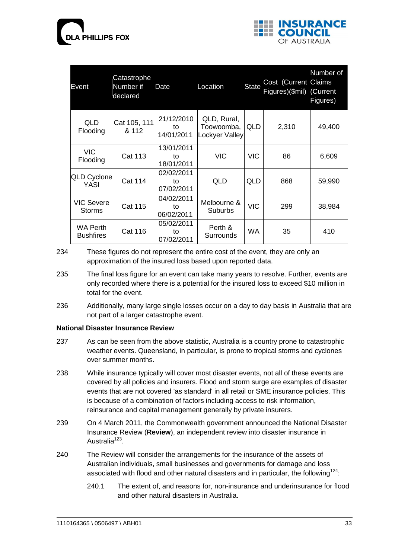



| Catastrophe<br>Number if<br>Event<br>declared |                                                  | Date                           | Location                                    | <b>State</b> | Cost (Current Claims<br>Figures)(\$mil) (Current | Number of<br>Figures) |
|-----------------------------------------------|--------------------------------------------------|--------------------------------|---------------------------------------------|--------------|--------------------------------------------------|-----------------------|
| <b>QLD</b><br>Flooding                        | Cat 105, 111<br>& 112                            | 21/12/2010<br>to<br>14/01/2011 | QLD, Rural,<br>Toowoomba,<br>Lockyer Valley | QLD          | 2,310                                            | 49,400                |
| <b>VIC</b><br>Flooding                        | <b>Cat 113</b>                                   | 13/01/2011<br>to<br>18/01/2011 | <b>VIC</b>                                  | <b>VIC</b>   | 86                                               | 6,609                 |
| <b>QLD Cyclone</b><br>YASI                    | <b>Cat 114</b>                                   | 02/02/2011<br>to<br>07/02/2011 | QLD                                         | QLD          | 868                                              | 59,990                |
| <b>VIC Severe</b><br><b>Storms</b>            | 04/02/2011<br><b>Cat 115</b><br>to<br>06/02/2011 |                                | Melbourne &<br>Suburbs                      | VIC          | 299                                              | 38,984                |
| <b>WA Perth</b><br><b>Bushfires</b>           | <b>Cat 116</b>                                   | 05/02/2011<br>to<br>07/02/2011 | Perth &<br>Surrounds                        | WA.          | 35                                               | 410                   |

234 These figures do not represent the entire cost of the event, they are only an approximation of the insured loss based upon reported data.

- 235 The final loss figure for an event can take many years to resolve. Further, events are only recorded where there is a potential for the insured loss to exceed \$10 million in total for the event.
- 236 Additionally, many large single losses occur on a day to day basis in Australia that are not part of a larger catastrophe event.

### **National Disaster Insurance Review**

- 237 As can be seen from the above statistic, Australia is a country prone to catastrophic weather events. Queensland, in particular, is prone to tropical storms and cyclones over summer months.
- 238 While insurance typically will cover most disaster events, not all of these events are covered by all policies and insurers. Flood and storm surge are examples of disaster events that are not covered 'as standard' in all retail or SME insurance policies. This is because of a combination of factors including access to risk information, reinsurance and capital management generally by private insurers.
- 239 On 4 March 2011, the Commonwealth government announced the National Disaster Insurance Review (**Review**), an independent review into disaster insurance in Australia<sup>123</sup>.
- 240 The Review will consider the arrangements for the insurance of the assets of Australian individuals, small businesses and governments for damage and loss associated with flood and other natural disasters and in particular, the following<sup>124</sup>:
	- 240.1 The extent of, and reasons for, non-insurance and underinsurance for flood and other natural disasters in Australia.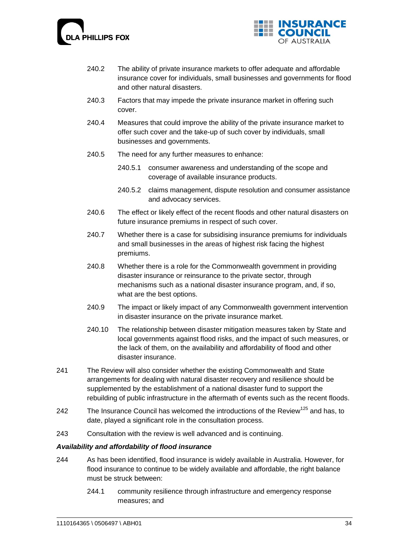



- 240.2 The ability of private insurance markets to offer adequate and affordable insurance cover for individuals, small businesses and governments for flood and other natural disasters.
- 240.3 Factors that may impede the private insurance market in offering such cover.
- 240.4 Measures that could improve the ability of the private insurance market to offer such cover and the take-up of such cover by individuals, small businesses and governments.
- 240.5 The need for any further measures to enhance:
	- 240.5.1 consumer awareness and understanding of the scope and coverage of available insurance products.
	- 240.5.2 claims management, dispute resolution and consumer assistance and advocacy services.
- 240.6 The effect or likely effect of the recent floods and other natural disasters on future insurance premiums in respect of such cover.
- 240.7 Whether there is a case for subsidising insurance premiums for individuals and small businesses in the areas of highest risk facing the highest premiums.
- 240.8 Whether there is a role for the Commonwealth government in providing disaster insurance or reinsurance to the private sector, through mechanisms such as a national disaster insurance program, and, if so, what are the best options.
- 240.9 The impact or likely impact of any Commonwealth government intervention in disaster insurance on the private insurance market.
- 240.10 The relationship between disaster mitigation measures taken by State and local governments against flood risks, and the impact of such measures, or the lack of them, on the availability and affordability of flood and other disaster insurance.
- 241 The Review will also consider whether the existing Commonwealth and State arrangements for dealing with natural disaster recovery and resilience should be supplemented by the establishment of a national disaster fund to support the rebuilding of public infrastructure in the aftermath of events such as the recent floods.
- 242 The Insurance Council has welcomed the introductions of the Review<sup>125</sup> and has, to date, played a significant role in the consultation process.
- 243 Consultation with the review is well advanced and is continuing.

### *Availability and affordability of flood insurance*

- 244 As has been identified, flood insurance is widely available in Australia. However, for flood insurance to continue to be widely available and affordable, the right balance must be struck between:
	- 244.1 community resilience through infrastructure and emergency response measures; and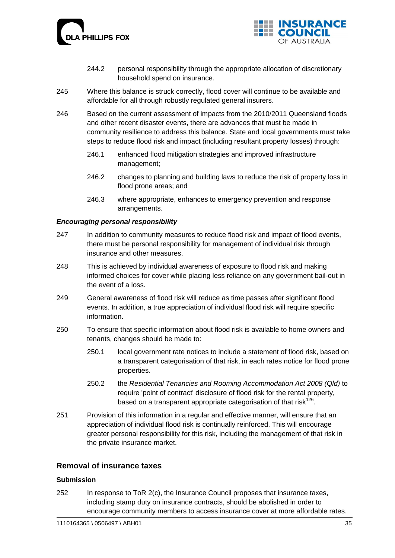



- 244.2 personal responsibility through the appropriate allocation of discretionary household spend on insurance.
- 245 Where this balance is struck correctly, flood cover will continue to be available and affordable for all through robustly regulated general insurers.
- 246 Based on the current assessment of impacts from the 2010/2011 Queensland floods and other recent disaster events, there are advances that must be made in community resilience to address this balance. State and local governments must take steps to reduce flood risk and impact (including resultant property losses) through:
	- 246.1 enhanced flood mitigation strategies and improved infrastructure management;
	- 246.2 changes to planning and building laws to reduce the risk of property loss in flood prone areas; and
	- 246.3 where appropriate, enhances to emergency prevention and response arrangements.

### *Encouraging personal responsibility*

- 247 In addition to community measures to reduce flood risk and impact of flood events, there must be personal responsibility for management of individual risk through insurance and other measures.
- 248 This is achieved by individual awareness of exposure to flood risk and making informed choices for cover while placing less reliance on any government bail-out in the event of a loss.
- 249 General awareness of flood risk will reduce as time passes after significant flood events. In addition, a true appreciation of individual flood risk will require specific information.
- 250 To ensure that specific information about flood risk is available to home owners and tenants, changes should be made to:
	- 250.1 local government rate notices to include a statement of flood risk, based on a transparent categorisation of that risk, in each rates notice for flood prone properties.
	- 250.2 the *Residential Tenancies and Rooming Accommodation Act 2008 (Qld)* to require 'point of contract' disclosure of flood risk for the rental property, based on a transparent appropriate categorisation of that risk<sup>126</sup>.
- 251 Provision of this information in a regular and effective manner, will ensure that an appreciation of individual flood risk is continually reinforced. This will encourage greater personal responsibility for this risk, including the management of that risk in the private insurance market.

# **Removal of insurance taxes**

### **Submission**

252 In response to ToR 2(c), the Insurance Council proposes that insurance taxes, including stamp duty on insurance contracts, should be abolished in order to encourage community members to access insurance cover at more affordable rates.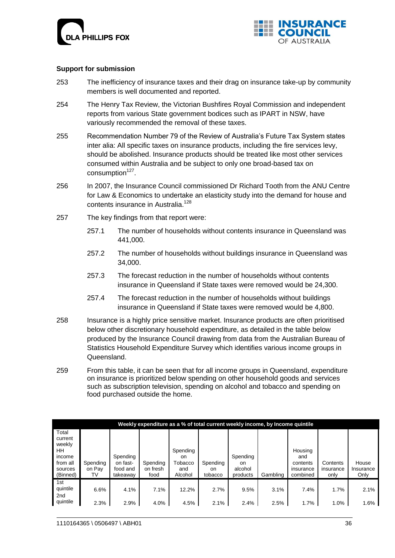



### **Support for submission**

- 253 The inefficiency of insurance taxes and their drag on insurance take-up by community members is well documented and reported.
- 254 The Henry Tax Review, the Victorian Bushfires Royal Commission and independent reports from various State government bodices such as IPART in NSW, have variously recommended the removal of these taxes.
- 255 Recommendation Number 79 of the Review of Australia"s Future Tax System states inter alia: All specific taxes on insurance products, including the fire services levy, should be abolished. Insurance products should be treated like most other services consumed within Australia and be subject to only one broad-based tax on consumption<sup>127</sup>.
- 256 In 2007, the Insurance Council commissioned Dr Richard Tooth from the ANU Centre for Law & Economics to undertake an elasticity study into the demand for house and contents insurance in Australia.<sup>128</sup>
- 257 The key findings from that report were:
	- 257.1 The number of households without contents insurance in Queensland was 441,000.
	- 257.2 The number of households without buildings insurance in Queensland was 34,000.
	- 257.3 The forecast reduction in the number of households without contents insurance in Queensland if State taxes were removed would be 24,300.
	- 257.4 The forecast reduction in the number of households without buildings insurance in Queensland if State taxes were removed would be 4,800.
- 258 Insurance is a highly price sensitive market. Insurance products are often prioritised below other discretionary household expenditure, as detailed in the table below produced by the Insurance Council drawing from data from the Australian Bureau of Statistics Household Expenditure Survey which identifies various income groups in Queensland.
- 259 From this table, it can be seen that for all income groups in Queensland, expenditure on insurance is prioritized below spending on other household goods and services such as subscription television, spending on alcohol and tobacco and spending on food purchased outside the home.

|                                                                               | Weekly expenditure as a % of total current weekly income, by Income quintile |                                              |                              |                                                        |                                      |                                       |          |                                                     |                               |                            |  |  |
|-------------------------------------------------------------------------------|------------------------------------------------------------------------------|----------------------------------------------|------------------------------|--------------------------------------------------------|--------------------------------------|---------------------------------------|----------|-----------------------------------------------------|-------------------------------|----------------------------|--|--|
| Total<br>current<br>weekly<br>HΗ<br>income<br>from all<br>sources<br>(Binned) | Spending<br>on Pav<br>TV                                                     | Spending<br>on fast-<br>food and<br>takeawav | Spending<br>on fresh<br>food | Spending<br><sub>on</sub><br>Tobacco<br>and<br>Alcohol | Spending<br><sub>on</sub><br>tobacco | Spending<br>on<br>alcohol<br>products | Gambling | Housing<br>and<br>contents<br>insurance<br>combined | Contents<br>insurance<br>only | House<br>Insurance<br>Only |  |  |
| 1st                                                                           |                                                                              |                                              |                              |                                                        |                                      |                                       |          |                                                     |                               |                            |  |  |
| quintile<br>2nd                                                               | 6.6%                                                                         | 4.1%                                         | 7.1%                         | 12.2%                                                  | 2.7%                                 | 9.5%                                  | 3.1%     | 7.4%                                                | 1.7%                          | 2.1%                       |  |  |
| quintile                                                                      | 2.3%                                                                         | 2.9%                                         | 4.0%                         | 4.5%                                                   | 2.1%                                 | 2.4%                                  | 2.5%     | 1.7%                                                | 1.0%                          | 1.6%                       |  |  |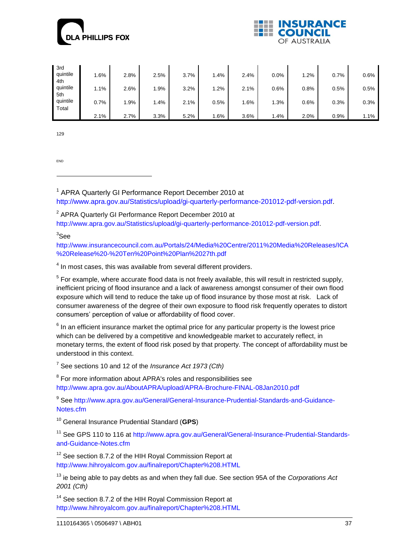



| 3rd<br>quintile<br>4th   | 1.6% | 2.8% | 2.5%   | 3.7% | 1.4% | 2.4% | 0.0% | .2%     | 0.7%    | 0.6% |
|--------------------------|------|------|--------|------|------|------|------|---------|---------|------|
| quintile                 | 1.1% | 2.6% | .9%    | 3.2% | 1.2% | 2.1% | 0.6% | 0.8%    | $0.5\%$ | 0.5% |
| 5th<br>quintile<br>Total | 0.7% | .9%  | $.4\%$ | 2.1% | 0.5% | 1.6% | .3%  | $0.6\%$ | 0.3%    | 0.3% |
|                          | 2.1% | 2.7% | 3.3%   | 5.2% | .6%  | 3.6% | . 4% | 2.0%    | 0.9%    | 1.1% |

129

END

-

 $1$  APRA Quarterly GI Performance Report December 2010 at

[http://www.apra.gov.au/Statistics/upload/gi-quarterly-performance-201012-pdf-version.pdf.](http://www.apra.gov.au/Statistics/upload/gi-quarterly-performance-201012-pdf-version.pdf)

<sup>2</sup> APRA Quarterly GI Performance Report December 2010 at

[http://www.apra.gov.au/Statistics/upload/gi-quarterly-performance-201012-pdf-version.pdf.](http://www.apra.gov.au/Statistics/upload/gi-quarterly-performance-201012-pdf-version.pdf)

 ${}^3$ See

[http://www.insurancecouncil.com.au/Portals/24/Media%20Centre/2011%20Media%20Releases/ICA](http://www.insurancecouncil.com.au/Portals/24/Media%20Centre/2011%20Media%20Releases/ICA%20Release%20-%20Ten%20Point%20Plan%2027th.pdf) [%20Release%20-%20Ten%20Point%20Plan%2027th.pdf](http://www.insurancecouncil.com.au/Portals/24/Media%20Centre/2011%20Media%20Releases/ICA%20Release%20-%20Ten%20Point%20Plan%2027th.pdf)

 $<sup>4</sup>$  In most cases, this was available from several different providers.</sup>

 $<sup>5</sup>$  For example, where accurate flood data is not freely available, this will result in restricted supply,</sup> inefficient pricing of flood insurance and a lack of awareness amongst consumer of their own flood exposure which will tend to reduce the take up of flood insurance by those most at risk. Lack of consumer awareness of the degree of their own exposure to flood risk frequently operates to distort consumers" perception of value or affordability of flood cover.

 $6$  In an efficient insurance market the optimal price for any particular property is the lowest price which can be delivered by a competitive and knowledgeable market to accurately reflect, in monetary terms, the extent of flood risk posed by that property. The concept of affordability must be understood in this context.

7 See sections 10 and 12 of the *Insurance Act 1973 (Cth)*

<sup>8</sup> For more information about APRA's roles and responsibilities see <http://www.apra.gov.au/AboutAPRA/upload/APRA-Brochure-FINAL-08Jan2010.pdf>

<sup>9</sup> See [http://www.apra.gov.au/General/General-Insurance-Prudential-Standards-and-Guidance-](http://www.apra.gov.au/General/General-Insurance-Prudential-Standards-and-Guidance-Notes.cfm)[Notes.cfm](http://www.apra.gov.au/General/General-Insurance-Prudential-Standards-and-Guidance-Notes.cfm)

<sup>10</sup> General Insurance Prudential Standard (**GPS**)

<sup>11</sup> See GPS 110 to 116 at [http://www.apra.gov.au/General/General-Insurance-Prudential-Standards](http://www.apra.gov.au/General/General-Insurance-Prudential-Standards-and-Guidance-Notes.cfm)[and-Guidance-Notes.cfm](http://www.apra.gov.au/General/General-Insurance-Prudential-Standards-and-Guidance-Notes.cfm)

 $12$  See section 8.7.2 of the HIH Royal Commission Report at <http://www.hihroyalcom.gov.au/finalreport/Chapter%208.HTML>

<sup>13</sup> ie being able to pay debts as and when they fall due. See section 95A of the *Corporations Act 2001 (Cth)*

<sup>14</sup> See section 8.7.2 of the HIH Royal Commission Report at <http://www.hihroyalcom.gov.au/finalreport/Chapter%208.HTML>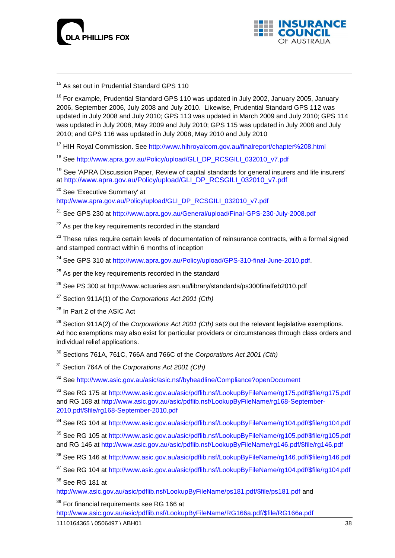



<sup>15</sup> As set out in Prudential Standard GPS 110

<sup>16</sup> For example, Prudential Standard GPS 110 was updated in July 2002, January 2005, January 2006, September 2006, July 2008 and July 2010. Likewise, Prudential Standard GPS 112 was updated in July 2008 and July 2010; GPS 113 was updated in March 2009 and July 2010; GPS 114 was updated in July 2008, May 2009 and July 2010; GPS 115 was updated in July 2008 and July 2010; and GPS 116 was updated in July 2008, May 2010 and July 2010

<sup>17</sup> HIH Royal Commission. See<http://www.hihroyalcom.gov.au/finalreport/chapter%208.html>

<sup>18</sup> See [http://www.apra.gov.au/Policy/upload/GLI\\_DP\\_RCSGILI\\_032010\\_v7.pdf](http://www.apra.gov.au/Policy/upload/GLI_DP_RCSGILI_032010_v7.pdf)

<sup>19</sup> See 'APRA Discussion Paper, Review of capital standards for general insurers and life insurers' at [http://www.apra.gov.au/Policy/upload/GLI\\_DP\\_RCSGILI\\_032010\\_v7.pdf](http://www.apra.gov.au/Policy/upload/GLI_DP_RCSGILI_032010_v7.pdf)

<sup>20</sup> See 'Executive Summary' at

[http://www.apra.gov.au/Policy/upload/GLI\\_DP\\_RCSGILI\\_032010\\_v7.pdf](http://www.apra.gov.au/Policy/upload/GLI_DP_RCSGILI_032010_v7.pdf)

<sup>21</sup> See GPS 230 at<http://www.apra.gov.au/General/upload/Final-GPS-230-July-2008.pdf>

 $22$  As per the key requirements recorded in the standard

<sup>23</sup> These rules require certain levels of documentation of reinsurance contracts, with a formal signed and stamped contract within 6 months of inception

<sup>24</sup> See GPS 310 at [http://www.apra.gov.au/Policy/upload/GPS-310-final-June-2010.pdf.](http://www.apra.gov.au/Policy/upload/GPS-310-final-June-2010.pdf)

 $25$  As per the key requirements recorded in the standard

<sup>26</sup> See PS 300 at http://www.actuaries.asn.au/library/standards/ps300finalfeb2010.pdf

<sup>27</sup> Section 911A(1) of the *Corporations Act 2001 (Cth)*

<sup>28</sup> In Part 2 of the ASIC Act

<sup>29</sup> Section 911A(2) of the *Corporations Act 2001 (Cth)* sets out the relevant legislative exemptions. Ad hoc exemptions may also exist for particular providers or circumstances through class orders and individual relief applications.

<sup>30</sup> Sections 761A, 761C, 766A and 766C of the *Corporations Act 2001 (Cth)*

<sup>31</sup> Section 764A of the *Corporations Act 2001 (Cth)*

<sup>32</sup> See<http://www.asic.gov.au/asic/asic.nsf/byheadline/Compliance?openDocument>

<sup>33</sup> See RG 175 at [http://www.asic.gov.au/asic/pdflib.nsf/LookupByFileName/rg175.pdf/\\$file/rg175.pdf](http://www.asic.gov.au/asic/pdflib.nsf/LookupByFileName/rg175.pdf/$file/rg175.pdf) and RG 168 at [http://www.asic.gov.au/asic/pdflib.nsf/LookupByFileName/rg168-September-](http://www.asic.gov.au/asic/pdflib.nsf/LookupByFileName/rg168-September-2010.pdf/$file/rg168-September-2010.pdf)[2010.pdf/\\$file/rg168-September-2010.pdf](http://www.asic.gov.au/asic/pdflib.nsf/LookupByFileName/rg168-September-2010.pdf/$file/rg168-September-2010.pdf)

<sup>34</sup> See RG 104 at [http://www.asic.gov.au/asic/pdflib.nsf/LookupByFileName/rg104.pdf/\\$file/rg104.pdf](http://www.asic.gov.au/asic/pdflib.nsf/LookupByFileName/rg104.pdf/$file/rg104.pdf)

<sup>35</sup> See RG 105 at [http://www.asic.gov.au/asic/pdflib.nsf/LookupByFileName/rg105.pdf/\\$file/rg105.pdf](http://www.asic.gov.au/asic/pdflib.nsf/LookupByFileName/rg105.pdf/$file/rg105.pdf) and RG 146 at [http://www.asic.gov.au/asic/pdflib.nsf/LookupByFileName/rg146.pdf/\\$file/rg146.pdf](http://www.asic.gov.au/asic/pdflib.nsf/LookupByFileName/rg146v1.pdf/$file/rg146v1.pdf)

<sup>36</sup> See RG 146 at [http://www.asic.gov.au/asic/pdflib.nsf/LookupByFileName/rg146.pdf/\\$file/rg146.pdf](http://www.asic.gov.au/asic/pdflib.nsf/LookupByFileName/rg146v1.pdf/$file/rg146v1.pdf)

<sup>37</sup> See RG 104 at [http://www.asic.gov.au/asic/pdflib.nsf/LookupByFileName/rg104.pdf/\\$file/rg104.pdf](http://www.asic.gov.au/asic/pdflib.nsf/LookupByFileName/rg104.pdf/$file/rg104.pdf)

 $38$  See RG 181 at

[http://www.asic.gov.au/asic/pdflib.nsf/LookupByFileName/ps181.pdf/\\$file/ps181.pdf](http://www.asic.gov.au/asic/pdflib.nsf/LookupByFileName/ps181.pdf/$file/ps181.pdf) and

 $39$  For financial requirements see RG 166 at

[http://www.asic.gov.au/asic/pdflib.nsf/LookupByFileName/RG166a.pdf/\\$file/RG166a.pdf](http://www.asic.gov.au/asic/pdflib.nsf/LookupByFileName/RG166a.pdf/$file/RG166a.pdf)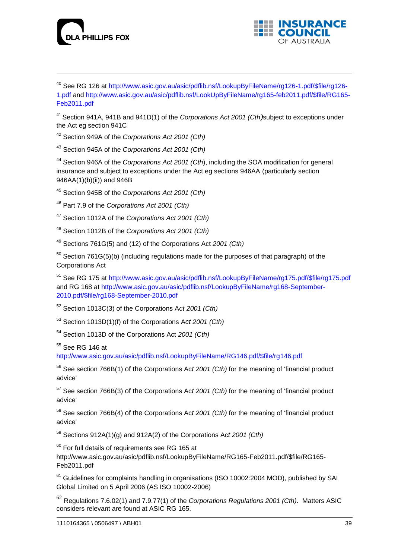



<sup>40</sup> See RG 126 at [http://www.asic.gov.au/asic/pdflib.nsf/LookupByFileName/rg126-1.pdf/\\$file/rg126-](http://www.asic.gov.au/asic/pdflib.nsf/LookupByFileName/rg126-1.pdf/$file/rg126-1.pdf) [1.pdf](http://www.asic.gov.au/asic/pdflib.nsf/LookupByFileName/rg126-1.pdf/$file/rg126-1.pdf) and [http://www.asic.gov.au/asic/pdflib.nsf/LookUpByFileName/rg165-feb2011.pdf/\\$file/RG165-](http://www.asic.gov.au/asic/asic.nsf/byheadline/Compliance?openDocument) [Feb2011.pdf](http://www.asic.gov.au/asic/asic.nsf/byheadline/Compliance?openDocument)

<sup>41</sup> Section 941A, 941B and 941D(1) of the *Corporations Act 2001 (Cth)*subject to exceptions under the Act eg section 941C

<sup>42</sup> Section 949A of the *Corporations Act 2001 (Cth)*

<sup>43</sup> Section 945A of the *Corporations Act 2001 (Cth)*

<sup>44</sup> Section 946A of the *Corporations Act 2001 (Cth*), including the SOA modification for general insurance and subject to exceptions under the Act eg sections 946AA (particularly section 946AA(1)(b)(ii)) and 946B

<sup>45</sup> Section 945B of the *Corporations Act 2001 (Cth)*

<sup>46</sup> Part 7.9 of the *Corporations Act 2001 (Cth)*

<sup>47</sup> Section 1012A of the *Corporations Act 2001 (Cth)*

<sup>48</sup> Section 1012B of the *Corporations Act 2001 (Cth)*

<sup>49</sup> Sections 761G(5) and (12) of the Corporations Act *2001 (Cth)*

 $50$  Section 761G(5)(b) (including regulations made for the purposes of that paragraph) of the Corporations Act

<sup>51</sup> See RG 175 at [http://www.asic.gov.au/asic/pdflib.nsf/LookupByFileName/rg175.pdf/\\$file/rg175.pdf](http://www.asic.gov.au/asic/pdflib.nsf/LookupByFileName/rg175.pdf/$file/rg175.pdf) and RG 168 at [http://www.asic.gov.au/asic/pdflib.nsf/LookupByFileName/rg168-September-](http://www.asic.gov.au/asic/pdflib.nsf/LookupByFileName/rg168-September-2010.pdf/$file/rg168-September-2010.pdf)[2010.pdf/\\$file/rg168-September-2010.pdf](http://www.asic.gov.au/asic/pdflib.nsf/LookupByFileName/rg168-September-2010.pdf/$file/rg168-September-2010.pdf)

<sup>52</sup> Section 1013C(3) of the Corporations A*ct 2001 (Cth)*

<sup>53</sup> Section 1013D(1)(f) of the Corporations A*ct 2001 (Cth)*

<sup>54</sup> Section 1013D of the Corporations Act *2001 (Cth)*

<sup>55</sup> See RG 146 at

[http://www.asic.gov.au/asic/pdflib.nsf/LookupByFileName/RG146.pdf/\\$file/rg146.pdf](http://www.asic.gov.au/asic/pdflib.nsf/LookupByFileName/RG146.pdf/$file/rg146.pdf)

<sup>56</sup> See section 766B(1) of the Corporations Ac*t 2001 (Cth)* for the meaning of 'financial product advice'

<sup>57</sup> See section 766B(3) of the Corporations Ac*t 2001 (Cth)* for the meaning of 'financial product advice'

<sup>58</sup> See section 766B(4) of the Corporations Ac*t 2001 (Cth)* for the meaning of 'financial product advice'

<sup>59</sup> Sections 912A(1)(g) and 912A(2) of the Corporations Ac*t 2001 (Cth)*

 $60$  For full details of requirements see RG 165 at

http://www.asic.gov.au/asic/pdflib.nsf/LookupByFileName/RG165-Feb2011.pdf/\$file/RG165- Feb2011.pdf

<sup>61</sup> Guidelines for complaints handling in organisations (ISO 10002:2004 MOD), published by SAI Global Limited on 5 April 2006 (AS ISO 10002-2006)

<sup>62</sup> Regulations 7.6.02(1) and 7.9.77(1) of the *Corporations Regulations 2001 (Cth)*. Matters ASIC considers relevant are found at ASIC RG 165.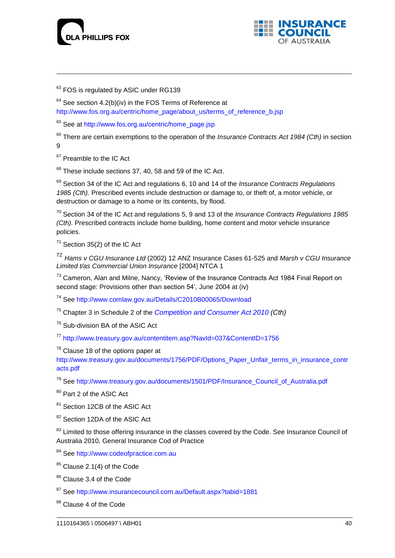



<sup>63</sup> FOS is regulated by ASIC under RG139

 $64$  See section 4.2(b)(iv) in the FOS Terms of Reference at [http://www.fos.org.au/centric/home\\_page/about\\_us/terms\\_of\\_reference\\_b.jsp](http://www.fos.org.au/centric/home_page/about_us/terms_of_reference_b.jsp)

<sup>65</sup> See at [http://www.fos.org.au/centric/home\\_page.jsp](http://www.fos.org.au/centric/home_page.jsp)

<sup>66</sup> There are certain exemptions to the operation of the *Insurance Contracts Act 1984 (Cth)* in section 9

<sup>67</sup> Preamble to the IC Act

 $68$  These include sections 37, 40, 58 and 59 of the IC Act.

<sup>69</sup> Section 34 of the IC Act and regulations 6, 10 and 14 of the *Insurance Contracts Regulations 1985 (Cth).* Prescribed events include destruction or damage to, or theft of, a motor vehicle, or destruction or damage to a home or its contents, by flood.

<sup>70</sup> Section 34 of the IC Act and regulations 5, 9 and 13 of the *Insurance Contracts Regulations 1985 (Cth).* Prescribed contracts include home building, home content and motor vehicle insurance policies.

 $71$  Section 35(2) of the IC Act

<sup>72</sup> *Hams v CGU Insurance Ltd* (2002) 12 ANZ Insurance Cases 61-525 and *Marsh v CGU Insurance Limited t/as Commercial Union Insurance* [2004] NTCA 1

<sup>73</sup> Cameron, Alan and Milne, Nancy, 'Review of the Insurance Contracts Act 1984 Final Report on second stage: Provisions other than section 54', June 2004 at (iv)

<sup>74</sup> See<http://www.comlaw.gov.au/Details/C2010B00065/Download>

<sup>75</sup> Chapter 3 in Schedule 2 of the *[Competition and Consumer Act 2010](http://www.comlaw.gov.au/ComLaw/Legislation/ActCompilation1.nsf/current/bytitle/83C2B3F207F6B920CA25780D007BE2A8?OpenDocument&mostrecent=1) (Cth)*

<sup>76</sup> Sub-division BA of the ASIC Act

<sup>77</sup> <http://www.treasury.gov.au/contentitem.asp?NavId=037&ContentID=1756>

 $78$  Clause 18 of the options paper at

[http://www.treasury.gov.au/documents/1756/PDF/Options\\_Paper\\_Unfair\\_terms\\_in\\_insurance\\_contr](http://www.treasury.gov.au/documents/1756/PDF/Options_Paper_Unfair_terms_in_insurance_contracts.pdf) [acts.pdf](http://www.treasury.gov.au/documents/1756/PDF/Options_Paper_Unfair_terms_in_insurance_contracts.pdf)

<sup>79</sup> See [http://www.treasury.gov.au/documents/1501/PDF/Insurance\\_Council\\_of\\_Australia.pdf](http://www.treasury.gov.au/documents/1501/PDF/Insurance_Council_of_Australia.pdf)

80 Part 2 of the ASIC Act

81 Section 12CB of the ASIC Act

<sup>82</sup> Section 12DA of the ASIC Act

<sup>83</sup> Limited to those offering insurance in the classes covered by the Code. See Insurance Council of Australia 2010, General Insurance Cod of Practice

84 See [http://www.codeofpractice.com.au](http://www.codeofpractice.com.au/)

 $85$  Clause 2.1(4) of the Code

86 Clause 3.4 of the Code

<sup>87</sup> See<http://www.insurancecouncil.com.au/Default.aspx?tabid=1881>

<sup>88</sup> Clause 4 of the Code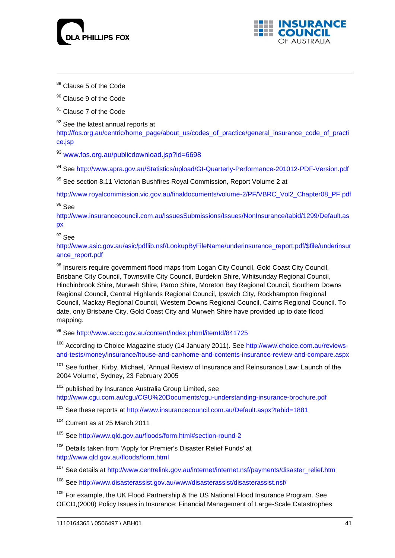



<sup>89</sup> Clause 5 of the Code

-

<sup>90</sup> Clause 9 of the Code

<sup>91</sup> Clause 7 of the Code

 $92$  See the latest annual reports at

[http://fos.org.au/centric/home\\_page/about\\_us/codes\\_of\\_practice/general\\_insurance\\_code\\_of\\_practi](http://fos.org.au/centric/home_page/about_us/codes_of_practice/general_insurance_code_of_practice.jsp) [ce.jsp](http://fos.org.au/centric/home_page/about_us/codes_of_practice/general_insurance_code_of_practice.jsp)

<sup>93</sup> [www.fos.org.au/publicdownload.jsp?id=6698](http://www.fos.org.au/publicdownload.jsp?id=6698)

<sup>94</sup> See<http://www.apra.gov.au/Statistics/upload/GI-Quarterly-Performance-201012-PDF-Version.pdf>

95 See section 8.11 Victorian Bushfires Royal Commission, Report Volume 2 at

[http://www.royalcommission.vic.gov.au/finaldocuments/volume-2/PF/VBRC\\_Vol2\\_Chapter08\\_PF.pdf](http://www.royalcommission.vic.gov.au/finaldocuments/volume-2/PF/VBRC_Vol2_Chapter08_PF.pdf)  $96$  See

[http://www.insurancecouncil.com.au/IssuesSubmissions/Issues/NonInsurance/tabid/1299/Default.as](http://www.insurancecouncil.com.au/IssuesSubmissions/Issues/NonInsurance/tabid/1299/Default.aspx) [px](http://www.insurancecouncil.com.au/IssuesSubmissions/Issues/NonInsurance/tabid/1299/Default.aspx)

#### $97$  See

[http://www.asic.gov.au/asic/pdflib.nsf/LookupByFileName/underinsurance\\_report.pdf/\\$file/underinsur](http://www.asic.gov.au/asic/pdflib.nsf/LookupByFileName/underinsurance_report.pdf/$file/underinsurance_report.pdf) [ance\\_report.pdf](http://www.asic.gov.au/asic/pdflib.nsf/LookupByFileName/underinsurance_report.pdf/$file/underinsurance_report.pdf)

98 Insurers require government flood maps from Logan City Council, Gold Coast City Council, Brisbane City Council, Townsville City Council, Burdekin Shire, Whitsunday Regional Council, Hinchinbrook Shire, Murweh Shire, Paroo Shire, Moreton Bay Regional Council, Southern Downs Regional Council, Central Highlands Regional Council, Ipswich City, Rockhampton Regional Council, Mackay Regional Council, Western Downs Regional Council, Cairns Regional Council. To date, only Brisbane City, Gold Coast City and Murweh Shire have provided up to date flood mapping.

<sup>99</sup> See<http://www.accc.gov.au/content/index.phtml/itemId/841725>

<sup>100</sup> According to Choice Magazine study (14 January 2011). See [http://www.choice.com.au/reviews](http://www.choice.com.au/reviews-and-tests/money/insurance/house-and-car/home-and-contents-insurance-review-and-compare.aspx)[and-tests/money/insurance/house-and-car/home-and-contents-insurance-review-and-compare.aspx](http://www.choice.com.au/reviews-and-tests/money/insurance/house-and-car/home-and-contents-insurance-review-and-compare.aspx)

<sup>101</sup> See further, Kirby, Michael, 'Annual Review of Insurance and Reinsurance Law: Launch of the 2004 Volume', Sydney, 23 February 2005

<sup>102</sup> published by Insurance Australia Group Limited, see <http://www.cgu.com.au/cgu/CGU%20Documents/cgu-understanding-insurance-brochure.pdf>

<sup>103</sup> See these reports at<http://www.insurancecouncil.com.au/Default.aspx?tabid=1881>

<sup>104</sup> Current as at 25 March 2011

<sup>105</sup> See<http://www.qld.gov.au/floods/form.html#section-round-2>

<sup>106</sup> Details taken from 'Apply for Premier's Disaster Relief Funds' at <http://www.qld.gov.au/floods/form.html>

<sup>107</sup> See details at [http://www.centrelink.gov.au/internet/internet.nsf/payments/disaster\\_relief.htm](http://www.centrelink.gov.au/internet/internet.nsf/payments/disaster_relief.htm)

<sup>108</sup> See<http://www.disasterassist.gov.au/www/disasterassist/disasterassist.nsf/>

<sup>109</sup> For example, the UK Flood Partnership & the US National Flood Insurance Program. See OECD,(2008) Policy Issues in Insurance: Financial Management of Large-Scale Catastrophes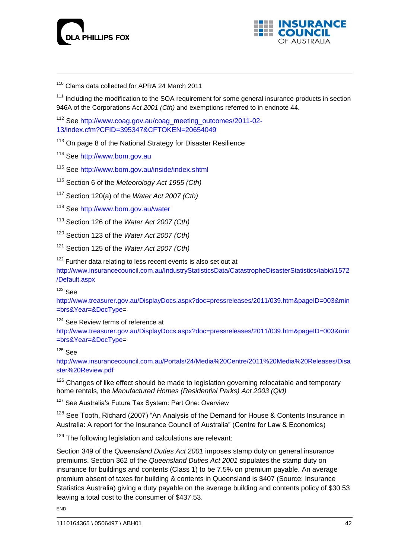



<sup>110</sup> Clams data collected for APRA 24 March 2011

<sup>111</sup> Including the modification to the SOA requirement for some general insurance products in section 946A of the Corporations Ac*t 2001 (Cth)* and exemptions referred to in endnote 44.

<sup>112</sup> See [http://www.coag.gov.au/coag\\_meeting\\_outcomes/2011-02-](http://www.coag.gov.au/coag_meeting_outcomes/2011-02-13/index.cfm?CFID=395347&CFTOKEN=20654049) [13/index.cfm?CFID=395347&CFTOKEN=20654049](http://www.coag.gov.au/coag_meeting_outcomes/2011-02-13/index.cfm?CFID=395347&CFTOKEN=20654049)

<sup>113</sup> On page 8 of the National Strategy for Disaster Resilience

<sup>114</sup> See [http://www.bom.gov.au](http://www.bom.gov.au/)

<sup>115</sup> See<http://www.bom.gov.au/inside/index.shtml>

<sup>116</sup> Section 6 of the *Meteorology Act 1955 (Cth)*

<sup>117</sup> Section 120(a) of the *[Water Act 2007](http://www.comlaw.gov.au/ComLaw/Legislation/Act1.nsf/all/search/E511A5A262379705CA25734C001ED679) (Cth)*

<sup>118</sup> See<http://www.bom.gov.au/water>

<sup>119</sup> Section 126 of the *[Water Act 2007](http://www.comlaw.gov.au/ComLaw/Legislation/Act1.nsf/all/search/E511A5A262379705CA25734C001ED679) (Cth)*

<sup>120</sup> Section 123 of the *[Water Act 2007](http://www.comlaw.gov.au/ComLaw/Legislation/Act1.nsf/all/search/E511A5A262379705CA25734C001ED679) (Cth)*

<sup>121</sup> Section 125 of the *[Water Act 2007](http://www.comlaw.gov.au/ComLaw/Legislation/Act1.nsf/all/search/E511A5A262379705CA25734C001ED679) (Cth)*

 $122$  Further data relating to less recent events is also set out at

[http://www.insurancecouncil.com.au/IndustryStatisticsData/CatastropheDisasterStatistics/tabid/1572](http://www.insurancecouncil.com.au/IndustryStatisticsData/CatastropheDisasterStatistics/tabid/1572/Default.aspx) [/Default.aspx](http://www.insurancecouncil.com.au/IndustryStatisticsData/CatastropheDisasterStatistics/tabid/1572/Default.aspx)

### $123$  See

[http://www.treasurer.gov.au/DisplayDocs.aspx?doc=pressreleases/2011/039.htm&pageID=003&min](http://www.treasurer.gov.au/DisplayDocs.aspx?doc=pressreleases/2011/039.htm&pageID=003&min=brs&Year=&DocType) [=brs&Year=&DocType=](http://www.treasurer.gov.au/DisplayDocs.aspx?doc=pressreleases/2011/039.htm&pageID=003&min=brs&Year=&DocType)

 $124$  See Review terms of reference at

[http://www.treasurer.gov.au/DisplayDocs.aspx?doc=pressreleases/2011/039.htm&pageID=003&min](http://www.treasurer.gov.au/DisplayDocs.aspx?doc=pressreleases/2011/039.htm&pageID=003&min=brs&Year=&DocType) [=brs&Year=&DocType=](http://www.treasurer.gov.au/DisplayDocs.aspx?doc=pressreleases/2011/039.htm&pageID=003&min=brs&Year=&DocType)

# $125$  See

[http://www.insurancecouncil.com.au/Portals/24/Media%20Centre/2011%20Media%20Releases/Disa](http://www.insurancecouncil.com.au/Portals/24/Media%20Centre/2011%20Media%20Releases/Disaster%20Review.pdf) [ster%20Review.pdf](http://www.insurancecouncil.com.au/Portals/24/Media%20Centre/2011%20Media%20Releases/Disaster%20Review.pdf)

 $126$  Changes of like effect should be made to legislation governing relocatable and temporary home rentals, the *Manufactured Homes (Residential Parks) Act 2003 (Qld)*

<sup>127</sup> See Australia's Future Tax System: Part One: Overview

 $128$  See Tooth, Richard (2007) "An Analysis of the Demand for House & Contents Insurance in Australia: A report for the Insurance Council of Australia" (Centre for Law & Economics)

 $129$  The following legislation and calculations are relevant:

Section 349 of the *Queensland Duties Act 2001* imposes stamp duty on general insurance premiums. Section 362 of the *Queensland Duties Act 2001* stipulates the stamp duty on insurance for buildings and contents (Class 1) to be 7.5% on premium payable. An average premium absent of taxes for building & contents in Queensland is \$407 (Source: Insurance Statistics Australia) giving a duty payable on the average building and contents policy of \$30.53 leaving a total cost to the consumer of \$437.53.

**FND**